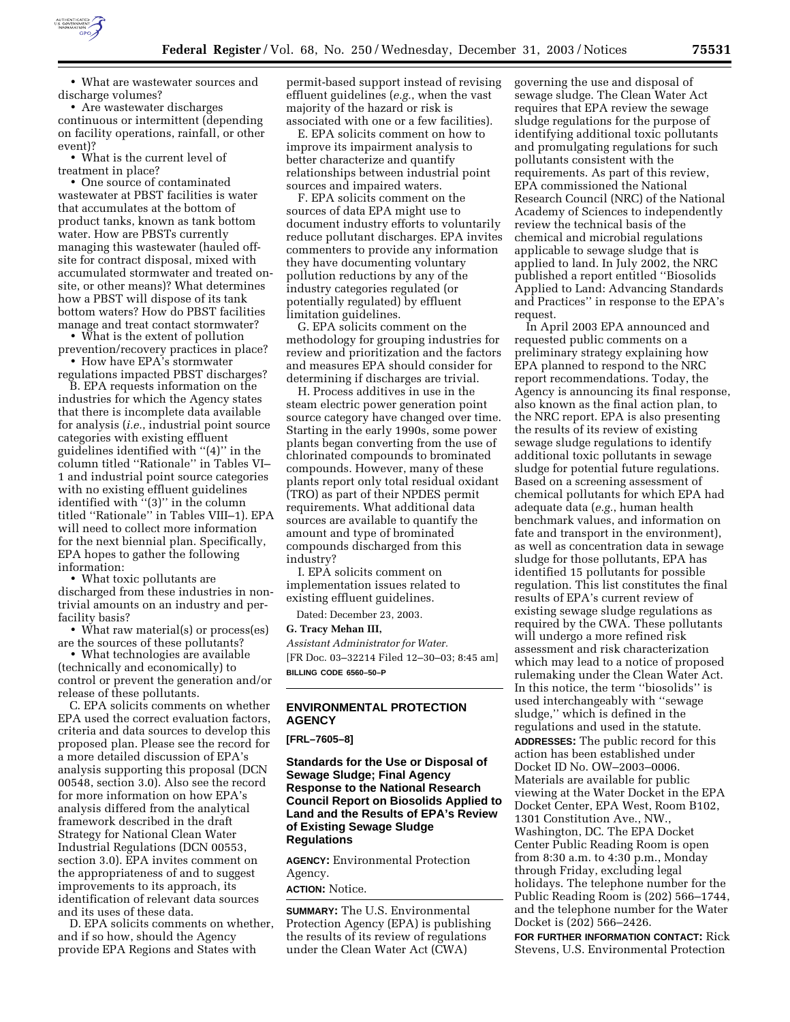

• What are wastewater sources and discharge volumes?

• Are wastewater discharges continuous or intermittent (depending on facility operations, rainfall, or other event)?

• What is the current level of treatment in place?

• One source of contaminated wastewater at PBST facilities is water that accumulates at the bottom of product tanks, known as tank bottom water. How are PBSTs currently managing this wastewater (hauled offsite for contract disposal, mixed with accumulated stormwater and treated onsite, or other means)? What determines how a PBST will dispose of its tank bottom waters? How do PBST facilities manage and treat contact stormwater?

• What is the extent of pollution prevention/recovery practices in place? • How have EPA's stormwater

regulations impacted PBST discharges?

B. EPA requests information on the industries for which the Agency states that there is incomplete data available for analysis (*i.e.*, industrial point source categories with existing effluent guidelines identified with ''(4)'' in the column titled ''Rationale'' in Tables VI– 1 and industrial point source categories with no existing effluent guidelines identified with ''(3)'' in the column titled "Rationale" in Tables VIII-1). EPA will need to collect more information for the next biennial plan. Specifically, EPA hopes to gather the following information:

• What toxic pollutants are discharged from these industries in nontrivial amounts on an industry and perfacility basis?

• What raw material(s) or process(es) are the sources of these pollutants?

• What technologies are available (technically and economically) to control or prevent the generation and/or release of these pollutants.

C. EPA solicits comments on whether EPA used the correct evaluation factors, criteria and data sources to develop this proposed plan. Please see the record for a more detailed discussion of EPA's analysis supporting this proposal (DCN 00548, section 3.0). Also see the record for more information on how EPA's analysis differed from the analytical framework described in the draft Strategy for National Clean Water Industrial Regulations (DCN 00553, section 3.0). EPA invites comment on the appropriateness of and to suggest improvements to its approach, its identification of relevant data sources and its uses of these data.

D. EPA solicits comments on whether, and if so how, should the Agency provide EPA Regions and States with

permit-based support instead of revising effluent guidelines (*e.g.*, when the vast majority of the hazard or risk is associated with one or a few facilities).

E. EPA solicits comment on how to improve its impairment analysis to better characterize and quantify relationships between industrial point sources and impaired waters.

F. EPA solicits comment on the sources of data EPA might use to document industry efforts to voluntarily reduce pollutant discharges. EPA invites commenters to provide any information they have documenting voluntary pollution reductions by any of the industry categories regulated (or potentially regulated) by effluent limitation guidelines.

G. EPA solicits comment on the methodology for grouping industries for review and prioritization and the factors and measures EPA should consider for determining if discharges are trivial.

H. Process additives in use in the steam electric power generation point source category have changed over time. Starting in the early 1990s, some power plants began converting from the use of chlorinated compounds to brominated compounds. However, many of these plants report only total residual oxidant (TRO) as part of their NPDES permit requirements. What additional data sources are available to quantify the amount and type of brominated compounds discharged from this industry?

I. EPA solicits comment on implementation issues related to existing effluent guidelines.

Dated: December 23, 2003.

# **G. Tracy Mehan III,**

*Assistant Administrator for Water.* [FR Doc. 03–32214 Filed 12–30–03; 8:45 am] **BILLING CODE 6560–50–P**

# **ENVIRONMENTAL PROTECTION AGENCY**

**[FRL–7605–8]** 

**Standards for the Use or Disposal of Sewage Sludge; Final Agency Response to the National Research Council Report on Biosolids Applied to Land and the Results of EPA's Review of Existing Sewage Sludge Regulations**

**AGENCY:** Environmental Protection Agency. **ACTION:** Notice.

**SUMMARY:** The U.S. Environmental Protection Agency (EPA) is publishing the results of its review of regulations under the Clean Water Act (CWA)

governing the use and disposal of sewage sludge. The Clean Water Act requires that EPA review the sewage sludge regulations for the purpose of identifying additional toxic pollutants and promulgating regulations for such pollutants consistent with the requirements. As part of this review, EPA commissioned the National Research Council (NRC) of the National Academy of Sciences to independently review the technical basis of the chemical and microbial regulations applicable to sewage sludge that is applied to land. In July 2002, the NRC published a report entitled ''Biosolids Applied to Land: Advancing Standards and Practices'' in response to the EPA's request.

In April 2003 EPA announced and requested public comments on a preliminary strategy explaining how EPA planned to respond to the NRC report recommendations. Today, the Agency is announcing its final response, also known as the final action plan, to the NRC report. EPA is also presenting the results of its review of existing sewage sludge regulations to identify additional toxic pollutants in sewage sludge for potential future regulations. Based on a screening assessment of chemical pollutants for which EPA had adequate data (*e.g.*, human health benchmark values, and information on fate and transport in the environment), as well as concentration data in sewage sludge for those pollutants, EPA has identified 15 pollutants for possible regulation. This list constitutes the final results of EPA's current review of existing sewage sludge regulations as required by the CWA. These pollutants will undergo a more refined risk assessment and risk characterization which may lead to a notice of proposed rulemaking under the Clean Water Act. In this notice, the term ''biosolids'' is used interchangeably with ''sewage sludge,'' which is defined in the regulations and used in the statute. **ADDRESSES:** The public record for this action has been established under Docket ID No. OW–2003–0006. Materials are available for public viewing at the Water Docket in the EPA Docket Center, EPA West, Room B102, 1301 Constitution Ave., NW., Washington, DC. The EPA Docket Center Public Reading Room is open from 8:30 a.m. to 4:30 p.m., Monday through Friday, excluding legal holidays. The telephone number for the Public Reading Room is (202) 566–1744, and the telephone number for the Water Docket is (202) 566–2426.

**FOR FURTHER INFORMATION CONTACT:** Rick Stevens, U.S. Environmental Protection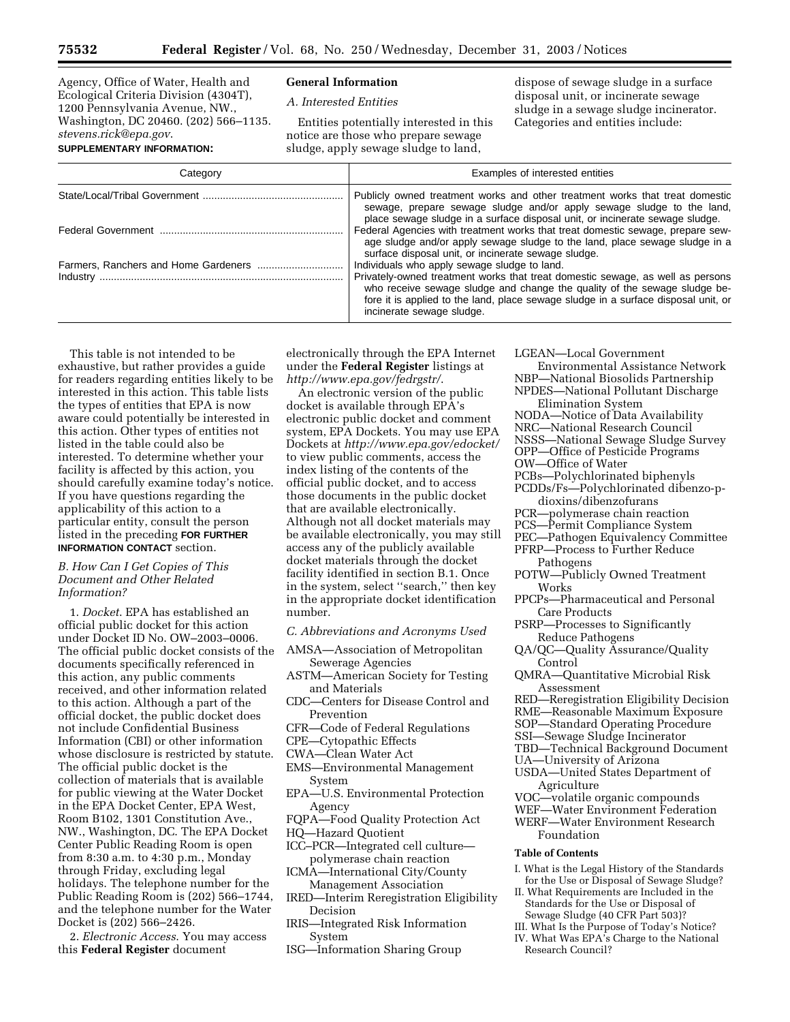Agency, Office of Water, Health and Ecological Criteria Division (4304T), 1200 Pennsylvania Avenue, NW., Washington, DC 20460. (202) 566–1135. *stevens.rick@epa.gov*. **SUPPLEMENTARY INFORMATION:**

#### **General Information**

*A. Interested Entities* 

Entities potentially interested in this notice are those who prepare sewage sludge, apply sewage sludge to land,

dispose of sewage sludge in a surface disposal unit, or incinerate sewage sludge in a sewage sludge incinerator. Categories and entities include:

| Category | Examples of interested entities                                                                                                                                                                                                                                                                                                |
|----------|--------------------------------------------------------------------------------------------------------------------------------------------------------------------------------------------------------------------------------------------------------------------------------------------------------------------------------|
|          | Publicly owned treatment works and other treatment works that treat domestic<br>sewage, prepare sewage sludge and/or apply sewage sludge to the land,<br>place sewage sludge in a surface disposal unit, or incinerate sewage sludge.                                                                                          |
|          | Federal Agencies with treatment works that treat domestic sewage, prepare sew-<br>age sludge and/or apply sewage sludge to the land, place sewage sludge in a<br>surface disposal unit, or incinerate sewage sludge.                                                                                                           |
|          | Individuals who apply sewage sludge to land.<br>Privately-owned treatment works that treat domestic sewage, as well as persons<br>who receive sewage sludge and change the quality of the sewage sludge be-<br>fore it is applied to the land, place sewage sludge in a surface disposal unit, or<br>incinerate sewage sludge. |

This table is not intended to be exhaustive, but rather provides a guide for readers regarding entities likely to be interested in this action. This table lists the types of entities that EPA is now aware could potentially be interested in this action. Other types of entities not listed in the table could also be interested. To determine whether your facility is affected by this action, you should carefully examine today's notice. If you have questions regarding the applicability of this action to a particular entity, consult the person listed in the preceding **FOR FURTHER INFORMATION CONTACT** section.

### *B. How Can I Get Copies of This Document and Other Related Information?*

1. *Docket*. EPA has established an official public docket for this action under Docket ID No. OW–2003–0006. The official public docket consists of the documents specifically referenced in this action, any public comments received, and other information related to this action. Although a part of the official docket, the public docket does not include Confidential Business Information (CBI) or other information whose disclosure is restricted by statute. The official public docket is the collection of materials that is available for public viewing at the Water Docket in the EPA Docket Center, EPA West, Room B102, 1301 Constitution Ave., NW., Washington, DC. The EPA Docket Center Public Reading Room is open from 8:30 a.m. to 4:30 p.m., Monday through Friday, excluding legal holidays. The telephone number for the Public Reading Room is (202) 566–1744, and the telephone number for the Water Docket is (202) 566–2426.

2. *Electronic Access*. You may access this **Federal Register** document

electronically through the EPA Internet under the **Federal Register** listings at *http://www.epa.gov/fedrgstr/*.

An electronic version of the public docket is available through EPA's electronic public docket and comment system, EPA Dockets. You may use EPA Dockets at *http://www.epa.gov/edocket/* to view public comments, access the index listing of the contents of the official public docket, and to access those documents in the public docket that are available electronically. Although not all docket materials may be available electronically, you may still access any of the publicly available docket materials through the docket facility identified in section B.1. Once in the system, select ''search,'' then key in the appropriate docket identification number.

*C. Abbreviations and Acronyms Used* 

- AMSA—Association of Metropolitan Sewerage Agencies
- ASTM—American Society for Testing and Materials
- CDC—Centers for Disease Control and Prevention
- CFR—Code of Federal Regulations
- CPE—Cytopathic Effects
- CWA—Clean Water Act
- EMS—Environmental Management System
- EPA—U.S. Environmental Protection Agency
- FQPA—Food Quality Protection Act
- HQ—Hazard Quotient
- ICC–PCR—Integrated cell culture polymerase chain reaction
- ICMA—International City/County Management Association
- IRED—Interim Reregistration Eligibility Decision
- IRIS—Integrated Risk Information System
- ISG—Information Sharing Group

LGEAN—Local Government

Environmental Assistance Network NBP—National Biosolids Partnership

- NPDES—National Pollutant Discharge Elimination System
- NODA—Notice of Data Availability
- NRC—National Research Council
- NSSS—National Sewage Sludge Survey
- OPP—Office of Pesticide Programs
- OW—Office of Water
- PCBs—Polychlorinated biphenyls
- PCDDs/Fs—Polychlorinated dibenzo-pdioxins/dibenzofurans
- PCR—polymerase chain reaction
- PCS—Permit Compliance System
- PEC—Pathogen Equivalency Committee
- PFRP—Process to Further Reduce Pathogens
- POTW—Publicly Owned Treatment Works
- PPCPs—Pharmaceutical and Personal Care Products
- PSRP—Processes to Significantly Reduce Pathogens
- QA/QC—Quality Assurance/Quality Control
- QMRA—Quantitative Microbial Risk Assessment
- RED—Reregistration Eligibility Decision
- RME—Reasonable Maximum Exposure
- SOP—Standard Operating Procedure
- SSI—Sewage Sludge Incinerator
- TBD—Technical Background Document
- UA—University of Arizona
- USDA—United States Department of Agriculture
- VOC—volatile organic compounds
- WEF—Water Environment Federation
- WERF—Water Environment Research Foundation

# **Table of Contents**

- I. What is the Legal History of the Standards for the Use or Disposal of Sewage Sludge?
- II. What Requirements are Included in the Standards for the Use or Disposal of Sewage Sludge (40 CFR Part 503)?
- III. What Is the Purpose of Today's Notice?
- IV. What Was EPA's Charge to the National Research Council?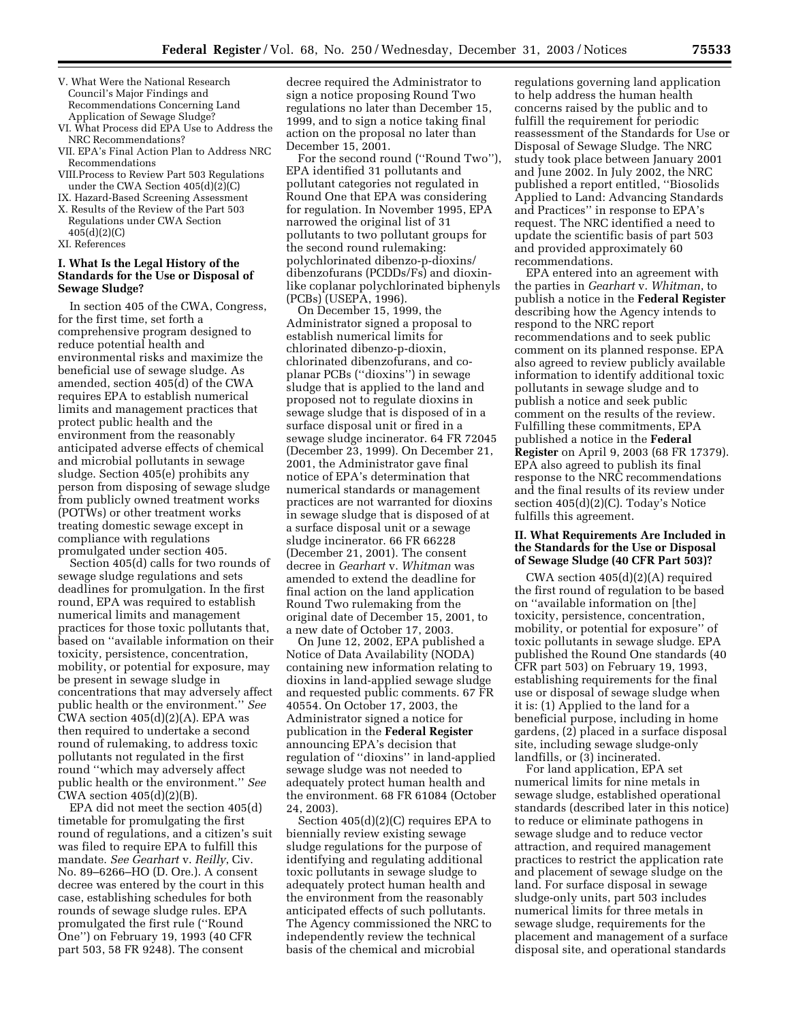- V. What Were the National Research Council's Major Findings and Recommendations Concerning Land Application of Sewage Sludge?
- VI. What Process did EPA Use to Address the NRC Recommendations?
- VII. EPA's Final Action Plan to Address NRC Recommendations
- VIII.Process to Review Part 503 Regulations under the CWA Section 405(d)(2)(C)
- IX. Hazard-Based Screening Assessment
- X. Results of the Review of the Part 503 Regulations under CWA Section 405(d)(2)(C)
- XI. References

# **I. What Is the Legal History of the Standards for the Use or Disposal of Sewage Sludge?**

In section 405 of the CWA, Congress, for the first time, set forth a comprehensive program designed to reduce potential health and environmental risks and maximize the beneficial use of sewage sludge. As amended, section 405(d) of the CWA requires EPA to establish numerical limits and management practices that protect public health and the environment from the reasonably anticipated adverse effects of chemical and microbial pollutants in sewage sludge. Section 405(e) prohibits any person from disposing of sewage sludge from publicly owned treatment works (POTWs) or other treatment works treating domestic sewage except in compliance with regulations promulgated under section 405.

Section 405(d) calls for two rounds of sewage sludge regulations and sets deadlines for promulgation. In the first round, EPA was required to establish numerical limits and management practices for those toxic pollutants that, based on ''available information on their toxicity, persistence, concentration, mobility, or potential for exposure, may be present in sewage sludge in concentrations that may adversely affect public health or the environment.'' *See* CWA section  $405(d)(2)(A)$ . EPA was then required to undertake a second round of rulemaking, to address toxic pollutants not regulated in the first round ''which may adversely affect public health or the environment.'' *See* CWA section  $405(d)(2)(B)$ .

EPA did not meet the section 405(d) timetable for promulgating the first round of regulations, and a citizen's suit was filed to require EPA to fulfill this mandate. *See Gearhart* v. *Reilly*, Civ. No. 89–6266–HO (D. Ore.). A consent decree was entered by the court in this case, establishing schedules for both rounds of sewage sludge rules. EPA promulgated the first rule (''Round One'') on February 19, 1993 (40 CFR part 503, 58 FR 9248). The consent

decree required the Administrator to sign a notice proposing Round Two regulations no later than December 15, 1999, and to sign a notice taking final action on the proposal no later than December 15, 2001.

For the second round (''Round Two''), EPA identified 31 pollutants and pollutant categories not regulated in Round One that EPA was considering for regulation. In November 1995, EPA narrowed the original list of 31 pollutants to two pollutant groups for the second round rulemaking: polychlorinated dibenzo-p-dioxins/ dibenzofurans (PCDDs/Fs) and dioxinlike coplanar polychlorinated biphenyls (PCBs) (USEPA, 1996).

On December 15, 1999, the Administrator signed a proposal to establish numerical limits for chlorinated dibenzo-p-dioxin, chlorinated dibenzofurans, and coplanar PCBs (''dioxins'') in sewage sludge that is applied to the land and proposed not to regulate dioxins in sewage sludge that is disposed of in a surface disposal unit or fired in a sewage sludge incinerator. 64 FR 72045 (December 23, 1999). On December 21, 2001, the Administrator gave final notice of EPA's determination that numerical standards or management practices are not warranted for dioxins in sewage sludge that is disposed of at a surface disposal unit or a sewage sludge incinerator. 66 FR 66228 (December 21, 2001). The consent decree in *Gearhart* v. *Whitman* was amended to extend the deadline for final action on the land application Round Two rulemaking from the original date of December 15, 2001, to a new date of October 17, 2003.

On June 12, 2002, EPA published a Notice of Data Availability (NODA) containing new information relating to dioxins in land-applied sewage sludge and requested public comments. 67 FR 40554. On October 17, 2003, the Administrator signed a notice for publication in the **Federal Register** announcing EPA's decision that regulation of ''dioxins'' in land-applied sewage sludge was not needed to adequately protect human health and the environment. 68 FR 61084 (October 24, 2003).

Section 405(d)(2)(C) requires EPA to biennially review existing sewage sludge regulations for the purpose of identifying and regulating additional toxic pollutants in sewage sludge to adequately protect human health and the environment from the reasonably anticipated effects of such pollutants. The Agency commissioned the NRC to independently review the technical basis of the chemical and microbial

regulations governing land application to help address the human health concerns raised by the public and to fulfill the requirement for periodic reassessment of the Standards for Use or Disposal of Sewage Sludge. The NRC study took place between January 2001 and June 2002. In July 2002, the NRC published a report entitled, ''Biosolids Applied to Land: Advancing Standards and Practices'' in response to EPA's request. The NRC identified a need to update the scientific basis of part 503 and provided approximately 60 recommendations.

EPA entered into an agreement with the parties in *Gearhart* v. *Whitman*, to publish a notice in the **Federal Register** describing how the Agency intends to respond to the NRC report recommendations and to seek public comment on its planned response. EPA also agreed to review publicly available information to identify additional toxic pollutants in sewage sludge and to publish a notice and seek public comment on the results of the review. Fulfilling these commitments, EPA published a notice in the **Federal Register** on April 9, 2003 (68 FR 17379). EPA also agreed to publish its final response to the NRC recommendations and the final results of its review under section 405(d)(2)(C). Today's Notice fulfills this agreement.

# **II. What Requirements Are Included in the Standards for the Use or Disposal of Sewage Sludge (40 CFR Part 503)?**

CWA section 405(d)(2)(A) required the first round of regulation to be based on ''available information on [the] toxicity, persistence, concentration, mobility, or potential for exposure'' of toxic pollutants in sewage sludge. EPA published the Round One standards (40 CFR part 503) on February 19, 1993, establishing requirements for the final use or disposal of sewage sludge when it is: (1) Applied to the land for a beneficial purpose, including in home gardens, (2) placed in a surface disposal site, including sewage sludge-only landfills, or (3) incinerated.

For land application, EPA set numerical limits for nine metals in sewage sludge, established operational standards (described later in this notice) to reduce or eliminate pathogens in sewage sludge and to reduce vector attraction, and required management practices to restrict the application rate and placement of sewage sludge on the land. For surface disposal in sewage sludge-only units, part 503 includes numerical limits for three metals in sewage sludge, requirements for the placement and management of a surface disposal site, and operational standards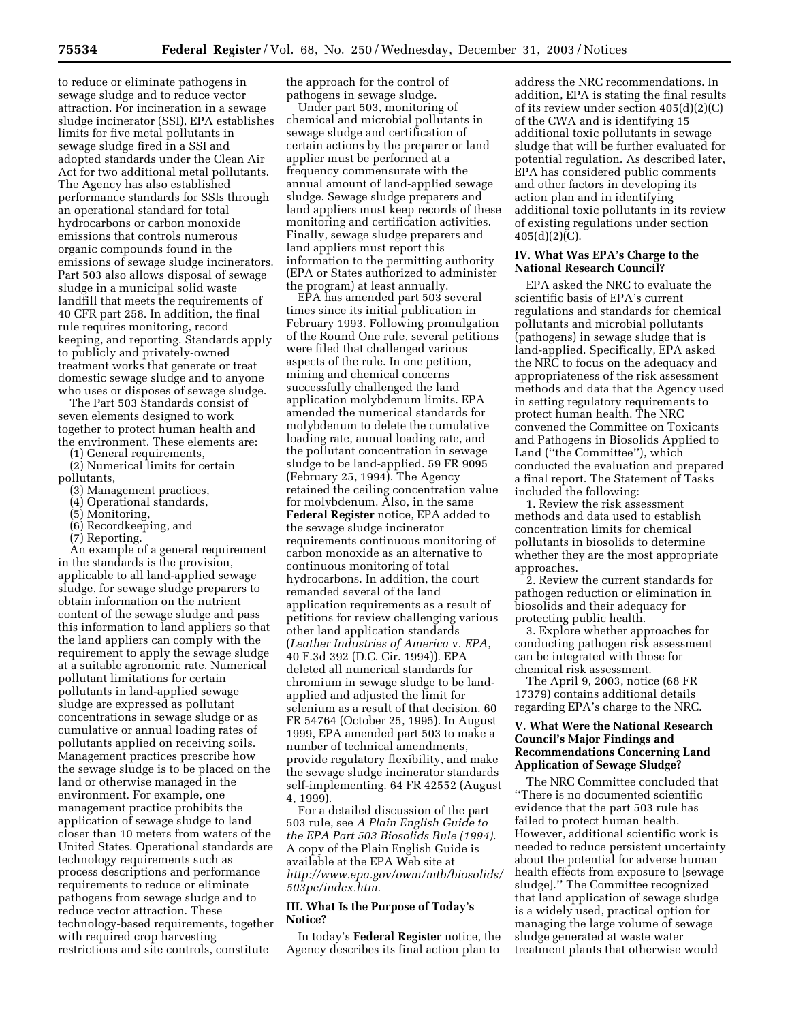to reduce or eliminate pathogens in sewage sludge and to reduce vector attraction. For incineration in a sewage sludge incinerator (SSI), EPA establishes limits for five metal pollutants in sewage sludge fired in a SSI and adopted standards under the Clean Air Act for two additional metal pollutants. The Agency has also established performance standards for SSIs through an operational standard for total hydrocarbons or carbon monoxide emissions that controls numerous organic compounds found in the emissions of sewage sludge incinerators. Part 503 also allows disposal of sewage sludge in a municipal solid waste landfill that meets the requirements of 40 CFR part 258. In addition, the final rule requires monitoring, record keeping, and reporting. Standards apply to publicly and privately-owned treatment works that generate or treat domestic sewage sludge and to anyone who uses or disposes of sewage sludge.

The Part 503 Standards consist of seven elements designed to work together to protect human health and the environment. These elements are:

(1) General requirements,

- (2) Numerical limits for certain pollutants,
	- (3) Management practices,
	- (4) Operational standards,
	- (5) Monitoring,
	- (6) Recordkeeping, and
	-

(7) Reporting. An example of a general requirement

in the standards is the provision, applicable to all land-applied sewage sludge, for sewage sludge preparers to obtain information on the nutrient content of the sewage sludge and pass this information to land appliers so that the land appliers can comply with the requirement to apply the sewage sludge at a suitable agronomic rate. Numerical pollutant limitations for certain pollutants in land-applied sewage sludge are expressed as pollutant concentrations in sewage sludge or as cumulative or annual loading rates of pollutants applied on receiving soils. Management practices prescribe how the sewage sludge is to be placed on the land or otherwise managed in the environment. For example, one management practice prohibits the application of sewage sludge to land closer than 10 meters from waters of the United States. Operational standards are technology requirements such as process descriptions and performance requirements to reduce or eliminate pathogens from sewage sludge and to reduce vector attraction. These technology-based requirements, together with required crop harvesting restrictions and site controls, constitute

the approach for the control of pathogens in sewage sludge.

Under part 503, monitoring of chemical and microbial pollutants in sewage sludge and certification of certain actions by the preparer or land applier must be performed at a frequency commensurate with the annual amount of land-applied sewage sludge. Sewage sludge preparers and land appliers must keep records of these monitoring and certification activities. Finally, sewage sludge preparers and land appliers must report this information to the permitting authority (EPA or States authorized to administer the program) at least annually.

EPA has amended part 503 several times since its initial publication in February 1993. Following promulgation of the Round One rule, several petitions were filed that challenged various aspects of the rule. In one petition, mining and chemical concerns successfully challenged the land application molybdenum limits. EPA amended the numerical standards for molybdenum to delete the cumulative loading rate, annual loading rate, and the pollutant concentration in sewage sludge to be land-applied. 59 FR 9095 (February 25, 1994). The Agency retained the ceiling concentration value for molybdenum. Also, in the same **Federal Register** notice, EPA added to the sewage sludge incinerator requirements continuous monitoring of carbon monoxide as an alternative to continuous monitoring of total hydrocarbons. In addition, the court remanded several of the land application requirements as a result of petitions for review challenging various other land application standards (*Leather Industries of America* v. *EPA*, 40 F.3d 392 (D.C. Cir. 1994)). EPA deleted all numerical standards for chromium in sewage sludge to be landapplied and adjusted the limit for selenium as a result of that decision. 60 FR 54764 (October 25, 1995). In August 1999, EPA amended part 503 to make a number of technical amendments, provide regulatory flexibility, and make the sewage sludge incinerator standards self-implementing. 64 FR 42552 (August 4, 1999).

For a detailed discussion of the part 503 rule, see *A Plain English Guide to the EPA Part 503 Biosolids Rule (1994)*. A copy of the Plain English Guide is available at the EPA Web site at *http://www.epa.gov/owm/mtb/biosolids/ 503pe/index.htm*.

### **III. What Is the Purpose of Today's Notice?**

In today's **Federal Register** notice, the Agency describes its final action plan to

address the NRC recommendations. In addition, EPA is stating the final results of its review under section 405(d)(2)(C) of the CWA and is identifying 15 additional toxic pollutants in sewage sludge that will be further evaluated for potential regulation. As described later, EPA has considered public comments and other factors in developing its action plan and in identifying additional toxic pollutants in its review of existing regulations under section  $405(d)(2)(C)$ .

#### **IV. What Was EPA's Charge to the National Research Council?**

EPA asked the NRC to evaluate the scientific basis of EPA's current regulations and standards for chemical pollutants and microbial pollutants (pathogens) in sewage sludge that is land-applied. Specifically, EPA asked the NRC to focus on the adequacy and appropriateness of the risk assessment methods and data that the Agency used in setting regulatory requirements to protect human health. The NRC convened the Committee on Toxicants and Pathogens in Biosolids Applied to Land (''the Committee''), which conducted the evaluation and prepared a final report. The Statement of Tasks included the following:

1. Review the risk assessment methods and data used to establish concentration limits for chemical pollutants in biosolids to determine whether they are the most appropriate approaches.

2. Review the current standards for pathogen reduction or elimination in biosolids and their adequacy for protecting public health.

3. Explore whether approaches for conducting pathogen risk assessment can be integrated with those for chemical risk assessment.

The April 9, 2003, notice (68 FR 17379) contains additional details regarding EPA's charge to the NRC.

# **V. What Were the National Research Council's Major Findings and Recommendations Concerning Land Application of Sewage Sludge?**

The NRC Committee concluded that ''There is no documented scientific evidence that the part 503 rule has failed to protect human health. However, additional scientific work is needed to reduce persistent uncertainty about the potential for adverse human health effects from exposure to [sewage sludge].'' The Committee recognized that land application of sewage sludge is a widely used, practical option for managing the large volume of sewage sludge generated at waste water treatment plants that otherwise would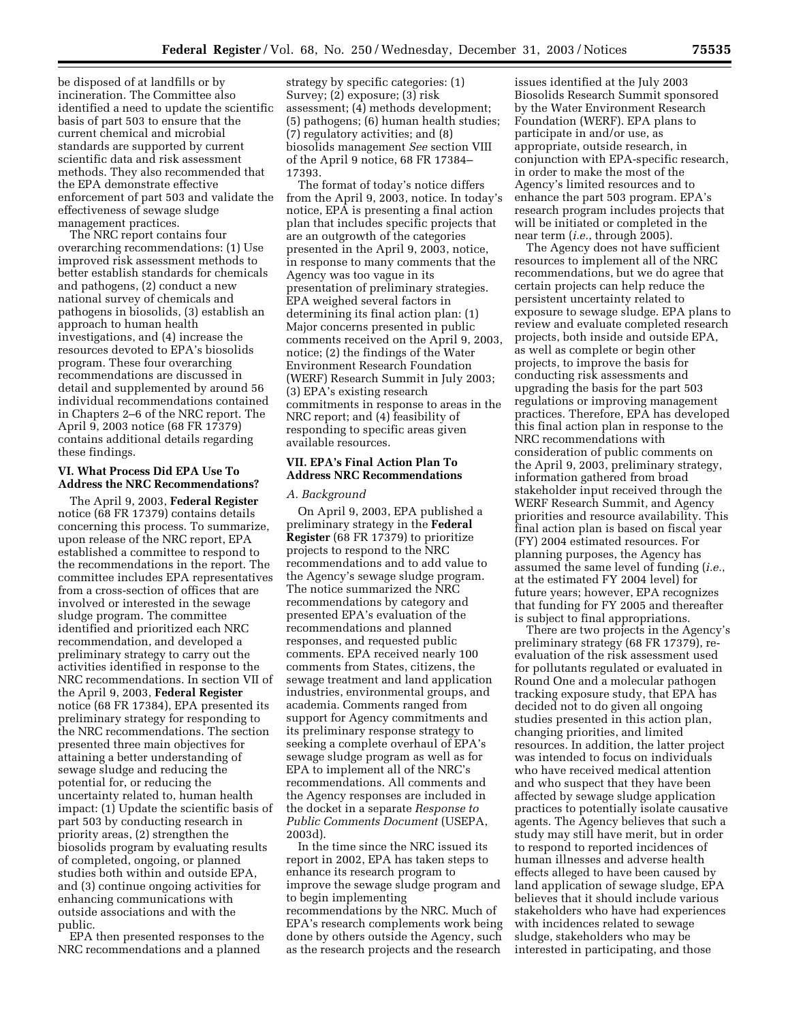be disposed of at landfills or by incineration. The Committee also identified a need to update the scientific basis of part 503 to ensure that the current chemical and microbial standards are supported by current scientific data and risk assessment methods. They also recommended that the EPA demonstrate effective enforcement of part 503 and validate the effectiveness of sewage sludge management practices.

The NRC report contains four overarching recommendations: (1) Use improved risk assessment methods to better establish standards for chemicals and pathogens, (2) conduct a new national survey of chemicals and pathogens in biosolids, (3) establish an approach to human health investigations, and (4) increase the resources devoted to EPA's biosolids program. These four overarching recommendations are discussed in detail and supplemented by around 56 individual recommendations contained in Chapters 2–6 of the NRC report. The April 9, 2003 notice (68 FR 17379) contains additional details regarding these findings.

#### **VI. What Process Did EPA Use To Address the NRC Recommendations?**

The April 9, 2003, **Federal Register** notice (68 FR 17379) contains details concerning this process. To summarize, upon release of the NRC report, EPA established a committee to respond to the recommendations in the report. The committee includes EPA representatives from a cross-section of offices that are involved or interested in the sewage sludge program. The committee identified and prioritized each NRC recommendation, and developed a preliminary strategy to carry out the activities identified in response to the NRC recommendations. In section VII of the April 9, 2003, **Federal Register** notice (68 FR 17384), EPA presented its preliminary strategy for responding to the NRC recommendations. The section presented three main objectives for attaining a better understanding of sewage sludge and reducing the potential for, or reducing the uncertainty related to, human health impact: (1) Update the scientific basis of part 503 by conducting research in priority areas, (2) strengthen the biosolids program by evaluating results of completed, ongoing, or planned studies both within and outside EPA, and (3) continue ongoing activities for enhancing communications with outside associations and with the public.

EPA then presented responses to the NRC recommendations and a planned

strategy by specific categories: (1) Survey; (2) exposure; (3) risk assessment; (4) methods development; (5) pathogens; (6) human health studies; (7) regulatory activities; and (8) biosolids management *See* section VIII of the April 9 notice, 68 FR 17384– 17393.

The format of today's notice differs from the April 9, 2003, notice. In today's notice, EPA is presenting a final action plan that includes specific projects that are an outgrowth of the categories presented in the April 9, 2003, notice, in response to many comments that the Agency was too vague in its presentation of preliminary strategies. EPA weighed several factors in determining its final action plan: (1) Major concerns presented in public comments received on the April 9, 2003, notice; (2) the findings of the Water Environment Research Foundation (WERF) Research Summit in July 2003; (3) EPA's existing research commitments in response to areas in the NRC report; and (4) feasibility of responding to specific areas given available resources.

# **VII. EPA's Final Action Plan To Address NRC Recommendations**

### *A. Background*

On April 9, 2003, EPA published a preliminary strategy in the **Federal Register** (68 FR 17379) to prioritize projects to respond to the NRC recommendations and to add value to the Agency's sewage sludge program. The notice summarized the NRC recommendations by category and presented EPA's evaluation of the recommendations and planned responses, and requested public comments. EPA received nearly 100 comments from States, citizens, the sewage treatment and land application industries, environmental groups, and academia. Comments ranged from support for Agency commitments and its preliminary response strategy to seeking a complete overhaul of EPA's sewage sludge program as well as for EPA to implement all of the NRC's recommendations. All comments and the Agency responses are included in the docket in a separate *Response to Public Comments Document* (USEPA, 2003d).

In the time since the NRC issued its report in 2002, EPA has taken steps to enhance its research program to improve the sewage sludge program and to begin implementing recommendations by the NRC. Much of EPA's research complements work being done by others outside the Agency, such as the research projects and the research

issues identified at the July 2003 Biosolids Research Summit sponsored by the Water Environment Research Foundation (WERF). EPA plans to participate in and/or use, as appropriate, outside research, in conjunction with EPA-specific research, in order to make the most of the Agency's limited resources and to enhance the part 503 program. EPA's research program includes projects that will be initiated or completed in the near term (*i.e.*, through 2005).

The Agency does not have sufficient resources to implement all of the NRC recommendations, but we do agree that certain projects can help reduce the persistent uncertainty related to exposure to sewage sludge. EPA plans to review and evaluate completed research projects, both inside and outside EPA, as well as complete or begin other projects, to improve the basis for conducting risk assessments and upgrading the basis for the part 503 regulations or improving management practices. Therefore, EPA has developed this final action plan in response to the NRC recommendations with consideration of public comments on the April 9, 2003, preliminary strategy, information gathered from broad stakeholder input received through the WERF Research Summit, and Agency priorities and resource availability. This final action plan is based on fiscal year (FY) 2004 estimated resources. For planning purposes, the Agency has assumed the same level of funding (*i.e.*, at the estimated FY 2004 level) for future years; however, EPA recognizes that funding for FY 2005 and thereafter is subject to final appropriations.

There are two projects in the Agency's preliminary strategy (68 FR 17379), reevaluation of the risk assessment used for pollutants regulated or evaluated in Round One and a molecular pathogen tracking exposure study, that EPA has decided not to do given all ongoing studies presented in this action plan, changing priorities, and limited resources. In addition, the latter project was intended to focus on individuals who have received medical attention and who suspect that they have been affected by sewage sludge application practices to potentially isolate causative agents. The Agency believes that such a study may still have merit, but in order to respond to reported incidences of human illnesses and adverse health effects alleged to have been caused by land application of sewage sludge, EPA believes that it should include various stakeholders who have had experiences with incidences related to sewage sludge, stakeholders who may be interested in participating, and those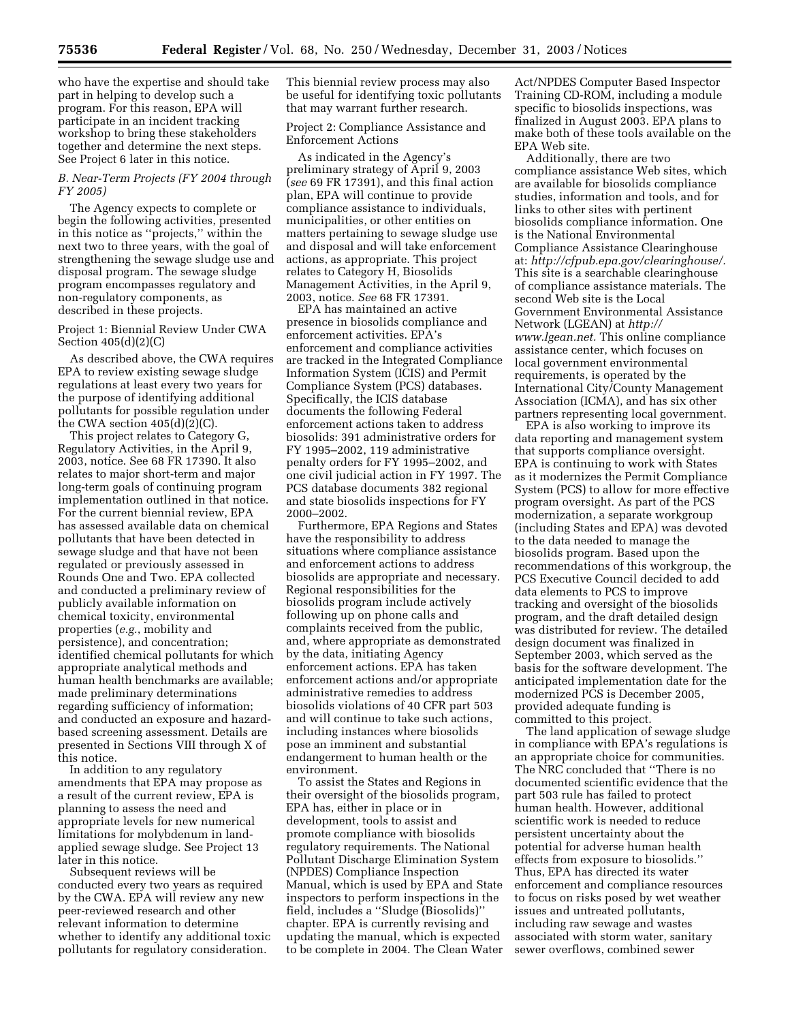who have the expertise and should take part in helping to develop such a program. For this reason, EPA will participate in an incident tracking workshop to bring these stakeholders together and determine the next steps. See Project 6 later in this notice.

# *B. Near-Term Projects (FY 2004 through FY 2005)*

The Agency expects to complete or begin the following activities, presented in this notice as ''projects,'' within the next two to three years, with the goal of strengthening the sewage sludge use and disposal program. The sewage sludge program encompasses regulatory and non-regulatory components, as described in these projects.

# Project 1: Biennial Review Under CWA Section 405(d)(2)(C)

As described above, the CWA requires EPA to review existing sewage sludge regulations at least every two years for the purpose of identifying additional pollutants for possible regulation under the CWA section  $405(d)(2)(C)$ .

This project relates to Category G, Regulatory Activities, in the April 9, 2003, notice. See 68 FR 17390. It also relates to major short-term and major long-term goals of continuing program implementation outlined in that notice. For the current biennial review, EPA has assessed available data on chemical pollutants that have been detected in sewage sludge and that have not been regulated or previously assessed in Rounds One and Two. EPA collected and conducted a preliminary review of publicly available information on chemical toxicity, environmental properties (*e.g.*, mobility and persistence), and concentration; identified chemical pollutants for which appropriate analytical methods and human health benchmarks are available; made preliminary determinations regarding sufficiency of information; and conducted an exposure and hazardbased screening assessment. Details are presented in Sections VIII through X of this notice.

In addition to any regulatory amendments that EPA may propose as a result of the current review, EPA is planning to assess the need and appropriate levels for new numerical limitations for molybdenum in landapplied sewage sludge. See Project 13 later in this notice.

Subsequent reviews will be conducted every two years as required by the CWA. EPA will review any new peer-reviewed research and other relevant information to determine whether to identify any additional toxic pollutants for regulatory consideration.

This biennial review process may also be useful for identifying toxic pollutants that may warrant further research.

Project 2: Compliance Assistance and Enforcement Actions

As indicated in the Agency's preliminary strategy of April 9, 2003 (*see* 69 FR 17391), and this final action plan, EPA will continue to provide compliance assistance to individuals, municipalities, or other entities on matters pertaining to sewage sludge use and disposal and will take enforcement actions, as appropriate. This project relates to Category H, Biosolids Management Activities, in the April 9, 2003, notice. *See* 68 FR 17391.

EPA has maintained an active presence in biosolids compliance and enforcement activities. EPA's enforcement and compliance activities are tracked in the Integrated Compliance Information System (ICIS) and Permit Compliance System (PCS) databases. Specifically, the ICIS database documents the following Federal enforcement actions taken to address biosolids: 391 administrative orders for FY 1995–2002, 119 administrative penalty orders for FY 1995–2002, and one civil judicial action in FY 1997. The PCS database documents 382 regional and state biosolids inspections for FY 2000–2002.

Furthermore, EPA Regions and States have the responsibility to address situations where compliance assistance and enforcement actions to address biosolids are appropriate and necessary. Regional responsibilities for the biosolids program include actively following up on phone calls and complaints received from the public, and, where appropriate as demonstrated by the data, initiating Agency enforcement actions. EPA has taken enforcement actions and/or appropriate administrative remedies to address biosolids violations of 40 CFR part 503 and will continue to take such actions, including instances where biosolids pose an imminent and substantial endangerment to human health or the environment.

To assist the States and Regions in their oversight of the biosolids program, EPA has, either in place or in development, tools to assist and promote compliance with biosolids regulatory requirements. The National Pollutant Discharge Elimination System (NPDES) Compliance Inspection Manual, which is used by EPA and State inspectors to perform inspections in the field, includes a ''Sludge (Biosolids)'' chapter. EPA is currently revising and updating the manual, which is expected to be complete in 2004. The Clean Water

Act/NPDES Computer Based Inspector Training CD-ROM, including a module specific to biosolids inspections, was finalized in August 2003. EPA plans to make both of these tools available on the EPA Web site.

Additionally, there are two compliance assistance Web sites, which are available for biosolids compliance studies, information and tools, and for links to other sites with pertinent biosolids compliance information. One is the National Environmental Compliance Assistance Clearinghouse at: *http://cfpub.epa.gov/clearinghouse/.* This site is a searchable clearinghouse of compliance assistance materials. The second Web site is the Local Government Environmental Assistance Network (LGEAN) at *http:// www.lgean.net.* This online compliance assistance center, which focuses on local government environmental requirements, is operated by the International City/County Management Association (ICMA), and has six other partners representing local government.

EPA is also working to improve its data reporting and management system that supports compliance oversight. EPA is continuing to work with States as it modernizes the Permit Compliance System (PCS) to allow for more effective program oversight. As part of the PCS modernization, a separate workgroup (including States and EPA) was devoted to the data needed to manage the biosolids program. Based upon the recommendations of this workgroup, the PCS Executive Council decided to add data elements to PCS to improve tracking and oversight of the biosolids program, and the draft detailed design was distributed for review. The detailed design document was finalized in September 2003, which served as the basis for the software development. The anticipated implementation date for the modernized PCS is December 2005, provided adequate funding is committed to this project.

The land application of sewage sludge in compliance with EPA's regulations is an appropriate choice for communities. The NRC concluded that ''There is no documented scientific evidence that the part 503 rule has failed to protect human health. However, additional scientific work is needed to reduce persistent uncertainty about the potential for adverse human health effects from exposure to biosolids.'' Thus, EPA has directed its water enforcement and compliance resources to focus on risks posed by wet weather issues and untreated pollutants, including raw sewage and wastes associated with storm water, sanitary sewer overflows, combined sewer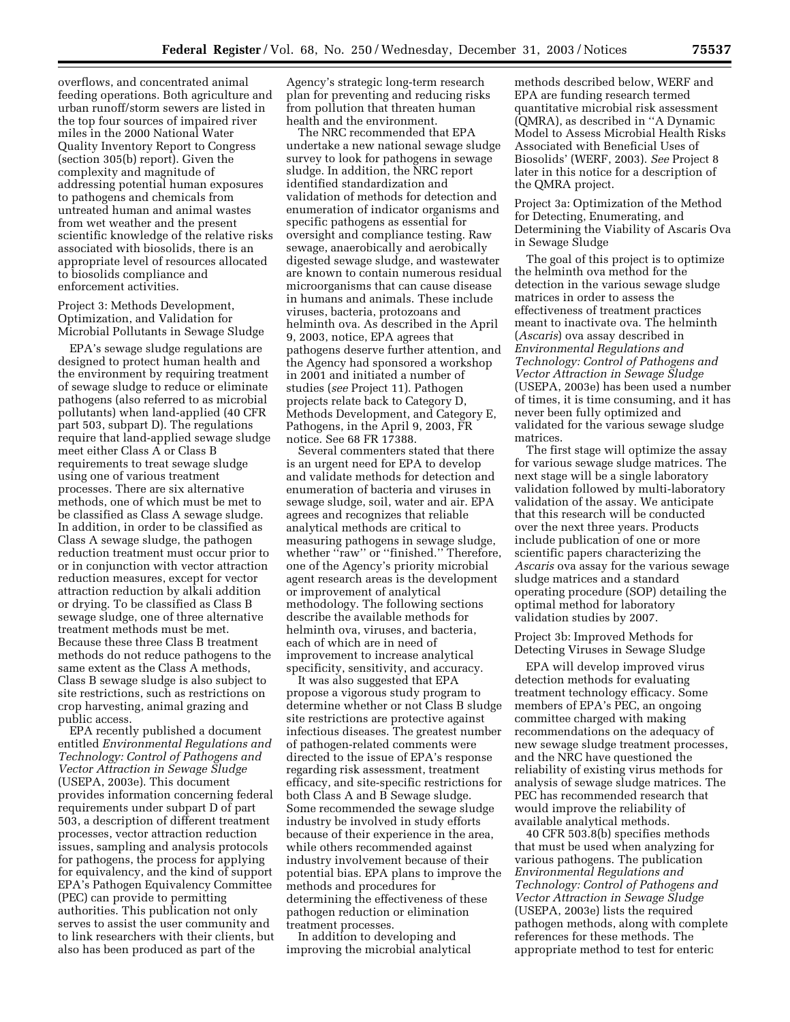overflows, and concentrated animal feeding operations. Both agriculture and urban runoff/storm sewers are listed in the top four sources of impaired river miles in the 2000 National Water Quality Inventory Report to Congress (section 305(b) report). Given the complexity and magnitude of addressing potential human exposures to pathogens and chemicals from untreated human and animal wastes from wet weather and the present scientific knowledge of the relative risks associated with biosolids, there is an appropriate level of resources allocated to biosolids compliance and enforcement activities.

Project 3: Methods Development, Optimization, and Validation for Microbial Pollutants in Sewage Sludge

EPA's sewage sludge regulations are designed to protect human health and the environment by requiring treatment of sewage sludge to reduce or eliminate pathogens (also referred to as microbial pollutants) when land-applied (40 CFR part 503, subpart D). The regulations require that land-applied sewage sludge meet either Class A or Class B requirements to treat sewage sludge using one of various treatment processes. There are six alternative methods, one of which must be met to be classified as Class A sewage sludge. In addition, in order to be classified as Class A sewage sludge, the pathogen reduction treatment must occur prior to or in conjunction with vector attraction reduction measures, except for vector attraction reduction by alkali addition or drying. To be classified as Class B sewage sludge, one of three alternative treatment methods must be met. Because these three Class B treatment methods do not reduce pathogens to the same extent as the Class A methods, Class B sewage sludge is also subject to site restrictions, such as restrictions on crop harvesting, animal grazing and public access.

EPA recently published a document entitled *Environmental Regulations and Technology: Control of Pathogens and Vector Attraction in Sewage Sludge* (USEPA, 2003e). This document provides information concerning federal requirements under subpart D of part 503, a description of different treatment processes, vector attraction reduction issues, sampling and analysis protocols for pathogens, the process for applying for equivalency, and the kind of support EPA's Pathogen Equivalency Committee (PEC) can provide to permitting authorities. This publication not only serves to assist the user community and to link researchers with their clients, but also has been produced as part of the

Agency's strategic long-term research plan for preventing and reducing risks from pollution that threaten human health and the environment.

The NRC recommended that EPA undertake a new national sewage sludge survey to look for pathogens in sewage sludge. In addition, the NRC report identified standardization and validation of methods for detection and enumeration of indicator organisms and specific pathogens as essential for oversight and compliance testing. Raw sewage, anaerobically and aerobically digested sewage sludge, and wastewater are known to contain numerous residual microorganisms that can cause disease in humans and animals. These include viruses, bacteria, protozoans and helminth ova. As described in the April 9, 2003, notice, EPA agrees that pathogens deserve further attention, and the Agency had sponsored a workshop in 2001 and initiated a number of studies (*see* Project 11). Pathogen projects relate back to Category D, Methods Development, and Category E, Pathogens, in the April 9, 2003, FR notice. See 68 FR 17388.

Several commenters stated that there is an urgent need for EPA to develop and validate methods for detection and enumeration of bacteria and viruses in sewage sludge, soil, water and air. EPA agrees and recognizes that reliable analytical methods are critical to measuring pathogens in sewage sludge, whether "raw" or "finished." Therefore, one of the Agency's priority microbial agent research areas is the development or improvement of analytical methodology. The following sections describe the available methods for helminth ova, viruses, and bacteria, each of which are in need of improvement to increase analytical specificity, sensitivity, and accuracy.

It was also suggested that EPA propose a vigorous study program to determine whether or not Class B sludge site restrictions are protective against infectious diseases. The greatest number of pathogen-related comments were directed to the issue of EPA's response regarding risk assessment, treatment efficacy, and site-specific restrictions for both Class A and B Sewage sludge. Some recommended the sewage sludge industry be involved in study efforts because of their experience in the area, while others recommended against industry involvement because of their potential bias. EPA plans to improve the methods and procedures for determining the effectiveness of these pathogen reduction or elimination treatment processes.

In addition to developing and improving the microbial analytical methods described below, WERF and EPA are funding research termed quantitative microbial risk assessment (QMRA), as described in ''A Dynamic Model to Assess Microbial Health Risks Associated with Beneficial Uses of Biosolids' (WERF, 2003). *See* Project 8 later in this notice for a description of the QMRA project.

Project 3a: Optimization of the Method for Detecting, Enumerating, and Determining the Viability of Ascaris Ova in Sewage Sludge

The goal of this project is to optimize the helminth ova method for the detection in the various sewage sludge matrices in order to assess the effectiveness of treatment practices meant to inactivate ova. The helminth (*Ascaris*) ova assay described in *Environmental Regulations and Technology: Control of Pathogens and Vector Attraction in Sewage Sludge* (USEPA, 2003e) has been used a number of times, it is time consuming, and it has never been fully optimized and validated for the various sewage sludge matrices.

The first stage will optimize the assay for various sewage sludge matrices. The next stage will be a single laboratory validation followed by multi-laboratory validation of the assay. We anticipate that this research will be conducted over the next three years. Products include publication of one or more scientific papers characterizing the *Ascaris* ova assay for the various sewage sludge matrices and a standard operating procedure (SOP) detailing the optimal method for laboratory validation studies by 2007.

Project 3b: Improved Methods for Detecting Viruses in Sewage Sludge

EPA will develop improved virus detection methods for evaluating treatment technology efficacy. Some members of EPA's PEC, an ongoing committee charged with making recommendations on the adequacy of new sewage sludge treatment processes, and the NRC have questioned the reliability of existing virus methods for analysis of sewage sludge matrices. The PEC has recommended research that would improve the reliability of available analytical methods.

40 CFR 503.8(b) specifies methods that must be used when analyzing for various pathogens. The publication *Environmental Regulations and Technology: Control of Pathogens and Vector Attraction in Sewage Sludge* (USEPA, 2003e) lists the required pathogen methods, along with complete references for these methods. The appropriate method to test for enteric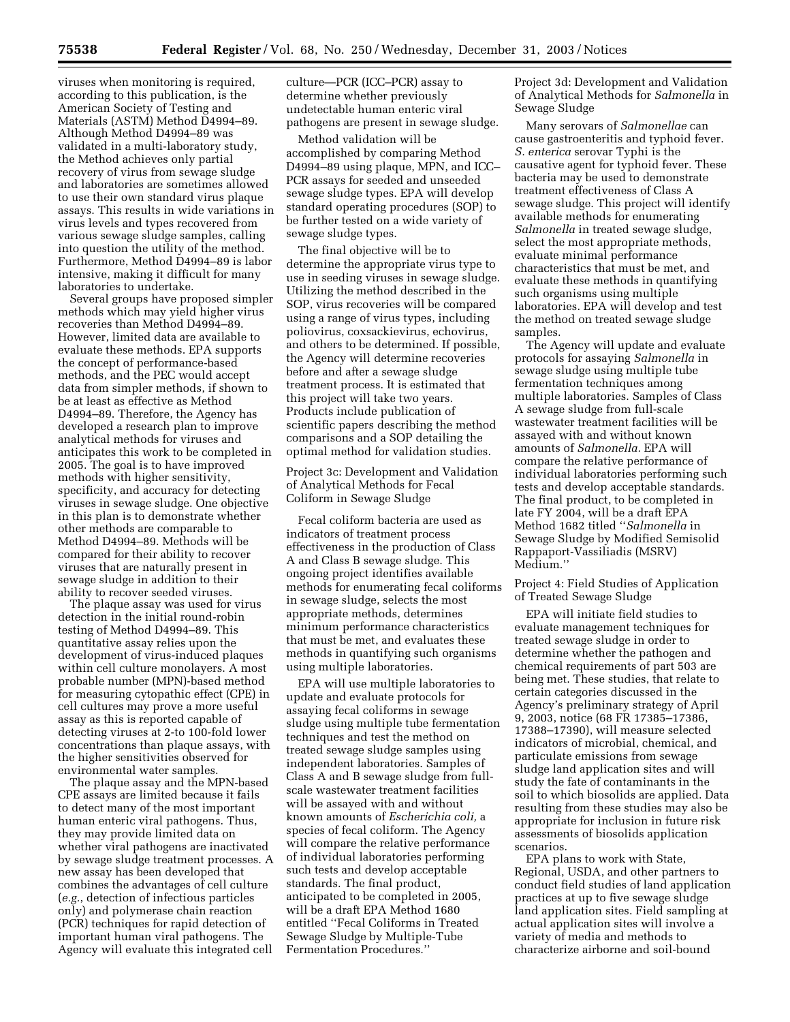viruses when monitoring is required, according to this publication, is the American Society of Testing and Materials (ASTM) Method D4994–89. Although Method D4994–89 was validated in a multi-laboratory study, the Method achieves only partial recovery of virus from sewage sludge and laboratories are sometimes allowed to use their own standard virus plaque assays. This results in wide variations in virus levels and types recovered from various sewage sludge samples, calling into question the utility of the method. Furthermore, Method D4994–89 is labor intensive, making it difficult for many laboratories to undertake.

Several groups have proposed simpler methods which may yield higher virus recoveries than Method D4994–89. However, limited data are available to evaluate these methods. EPA supports the concept of performance-based methods, and the PEC would accept data from simpler methods, if shown to be at least as effective as Method D4994–89. Therefore, the Agency has developed a research plan to improve analytical methods for viruses and anticipates this work to be completed in 2005. The goal is to have improved methods with higher sensitivity, specificity, and accuracy for detecting viruses in sewage sludge. One objective in this plan is to demonstrate whether other methods are comparable to Method D4994–89. Methods will be compared for their ability to recover viruses that are naturally present in sewage sludge in addition to their ability to recover seeded viruses.

The plaque assay was used for virus detection in the initial round-robin testing of Method D4994–89. This quantitative assay relies upon the development of virus-induced plaques within cell culture monolayers. A most probable number (MPN)-based method for measuring cytopathic effect (CPE) in cell cultures may prove a more useful assay as this is reported capable of detecting viruses at 2-to 100-fold lower concentrations than plaque assays, with the higher sensitivities observed for environmental water samples.

The plaque assay and the MPN-based CPE assays are limited because it fails to detect many of the most important human enteric viral pathogens. Thus, they may provide limited data on whether viral pathogens are inactivated by sewage sludge treatment processes. A new assay has been developed that combines the advantages of cell culture (*e.g.*, detection of infectious particles only) and polymerase chain reaction (PCR) techniques for rapid detection of important human viral pathogens. The Agency will evaluate this integrated cell culture—PCR (ICC–PCR) assay to determine whether previously undetectable human enteric viral pathogens are present in sewage sludge.

Method validation will be accomplished by comparing Method D4994–89 using plaque, MPN, and ICC– PCR assays for seeded and unseeded sewage sludge types. EPA will develop standard operating procedures (SOP) to be further tested on a wide variety of sewage sludge types.

The final objective will be to determine the appropriate virus type to use in seeding viruses in sewage sludge. Utilizing the method described in the SOP, virus recoveries will be compared using a range of virus types, including poliovirus, coxsackievirus, echovirus, and others to be determined. If possible, the Agency will determine recoveries before and after a sewage sludge treatment process. It is estimated that this project will take two years. Products include publication of scientific papers describing the method comparisons and a SOP detailing the optimal method for validation studies.

Project 3c: Development and Validation of Analytical Methods for Fecal Coliform in Sewage Sludge

Fecal coliform bacteria are used as indicators of treatment process effectiveness in the production of Class A and Class B sewage sludge. This ongoing project identifies available methods for enumerating fecal coliforms in sewage sludge, selects the most appropriate methods, determines minimum performance characteristics that must be met, and evaluates these methods in quantifying such organisms using multiple laboratories.

EPA will use multiple laboratories to update and evaluate protocols for assaying fecal coliforms in sewage sludge using multiple tube fermentation techniques and test the method on treated sewage sludge samples using independent laboratories. Samples of Class A and B sewage sludge from fullscale wastewater treatment facilities will be assayed with and without known amounts of *Escherichia coli,* a species of fecal coliform. The Agency will compare the relative performance of individual laboratories performing such tests and develop acceptable standards. The final product, anticipated to be completed in 2005, will be a draft EPA Method 1680 entitled ''Fecal Coliforms in Treated Sewage Sludge by Multiple-Tube Fermentation Procedures.''

Project 3d: Development and Validation of Analytical Methods for *Salmonella* in Sewage Sludge

Many serovars of *Salmonellae* can cause gastroenteritis and typhoid fever. *S. enterica* serovar Typhi is the causative agent for typhoid fever. These bacteria may be used to demonstrate treatment effectiveness of Class A sewage sludge. This project will identify available methods for enumerating *Salmonella* in treated sewage sludge, select the most appropriate methods, evaluate minimal performance characteristics that must be met, and evaluate these methods in quantifying such organisms using multiple laboratories. EPA will develop and test the method on treated sewage sludge samples.

The Agency will update and evaluate protocols for assaying *Salmonella* in sewage sludge using multiple tube fermentation techniques among multiple laboratories. Samples of Class A sewage sludge from full-scale wastewater treatment facilities will be assayed with and without known amounts of *Salmonella.* EPA will compare the relative performance of individual laboratories performing such tests and develop acceptable standards. The final product, to be completed in late FY 2004, will be a draft EPA Method 1682 titled ''*Salmonella* in Sewage Sludge by Modified Semisolid Rappaport-Vassiliadis (MSRV) Medium.''

Project 4: Field Studies of Application of Treated Sewage Sludge

EPA will initiate field studies to evaluate management techniques for treated sewage sludge in order to determine whether the pathogen and chemical requirements of part 503 are being met. These studies, that relate to certain categories discussed in the Agency's preliminary strategy of April 9, 2003, notice (68 FR 17385–17386, 17388–17390), will measure selected indicators of microbial, chemical, and particulate emissions from sewage sludge land application sites and will study the fate of contaminants in the soil to which biosolids are applied. Data resulting from these studies may also be appropriate for inclusion in future risk assessments of biosolids application scenarios.

EPA plans to work with State, Regional, USDA, and other partners to conduct field studies of land application practices at up to five sewage sludge land application sites. Field sampling at actual application sites will involve a variety of media and methods to characterize airborne and soil-bound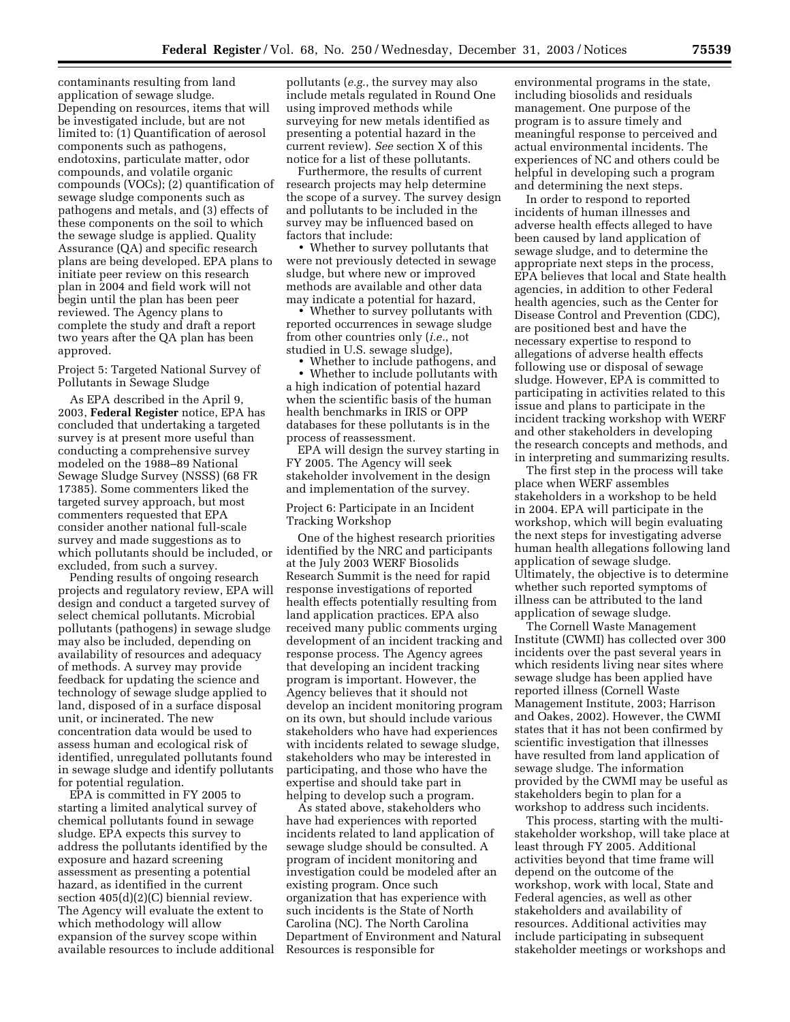contaminants resulting from land application of sewage sludge. Depending on resources, items that will be investigated include, but are not limited to: (1) Quantification of aerosol components such as pathogens, endotoxins, particulate matter, odor compounds, and volatile organic compounds (VOCs); (2) quantification of sewage sludge components such as pathogens and metals, and (3) effects of these components on the soil to which the sewage sludge is applied. Quality Assurance (QA) and specific research plans are being developed. EPA plans to initiate peer review on this research plan in 2004 and field work will not begin until the plan has been peer reviewed. The Agency plans to complete the study and draft a report two years after the QA plan has been approved.

Project 5: Targeted National Survey of Pollutants in Sewage Sludge

As EPA described in the April 9, 2003, **Federal Register** notice, EPA has concluded that undertaking a targeted survey is at present more useful than conducting a comprehensive survey modeled on the 1988–89 National Sewage Sludge Survey (NSSS) (68 FR 17385). Some commenters liked the targeted survey approach, but most commenters requested that EPA consider another national full-scale survey and made suggestions as to which pollutants should be included, or excluded, from such a survey.

Pending results of ongoing research projects and regulatory review, EPA will design and conduct a targeted survey of select chemical pollutants. Microbial pollutants (pathogens) in sewage sludge may also be included, depending on availability of resources and adequacy of methods. A survey may provide feedback for updating the science and technology of sewage sludge applied to land, disposed of in a surface disposal unit, or incinerated. The new concentration data would be used to assess human and ecological risk of identified, unregulated pollutants found in sewage sludge and identify pollutants for potential regulation.

EPA is committed in FY 2005 to starting a limited analytical survey of chemical pollutants found in sewage sludge. EPA expects this survey to address the pollutants identified by the exposure and hazard screening assessment as presenting a potential hazard, as identified in the current section 405(d)(2)(C) biennial review. The Agency will evaluate the extent to which methodology will allow expansion of the survey scope within available resources to include additional

pollutants (*e.g.*, the survey may also include metals regulated in Round One using improved methods while surveying for new metals identified as presenting a potential hazard in the current review). *See* section X of this notice for a list of these pollutants.

Furthermore, the results of current research projects may help determine the scope of a survey. The survey design and pollutants to be included in the survey may be influenced based on factors that include:

• Whether to survey pollutants that were not previously detected in sewage sludge, but where new or improved methods are available and other data may indicate a potential for hazard,

• Whether to survey pollutants with reported occurrences in sewage sludge from other countries only (*i.e.*, not studied in U.S. sewage sludge),

• Whether to include pathogens, and

• Whether to include pollutants with a high indication of potential hazard when the scientific basis of the human health benchmarks in IRIS or OPP databases for these pollutants is in the process of reassessment.

EPA will design the survey starting in FY 2005. The Agency will seek stakeholder involvement in the design and implementation of the survey.

Project 6: Participate in an Incident Tracking Workshop

One of the highest research priorities identified by the NRC and participants at the July 2003 WERF Biosolids Research Summit is the need for rapid response investigations of reported health effects potentially resulting from land application practices. EPA also received many public comments urging development of an incident tracking and response process. The Agency agrees that developing an incident tracking program is important. However, the Agency believes that it should not develop an incident monitoring program on its own, but should include various stakeholders who have had experiences with incidents related to sewage sludge, stakeholders who may be interested in participating, and those who have the expertise and should take part in helping to develop such a program.

As stated above, stakeholders who have had experiences with reported incidents related to land application of sewage sludge should be consulted. A program of incident monitoring and investigation could be modeled after an existing program. Once such organization that has experience with such incidents is the State of North Carolina (NC). The North Carolina Department of Environment and Natural Resources is responsible for

environmental programs in the state, including biosolids and residuals management. One purpose of the program is to assure timely and meaningful response to perceived and actual environmental incidents. The experiences of NC and others could be helpful in developing such a program and determining the next steps.

In order to respond to reported incidents of human illnesses and adverse health effects alleged to have been caused by land application of sewage sludge, and to determine the appropriate next steps in the process, EPA believes that local and State health agencies, in addition to other Federal health agencies, such as the Center for Disease Control and Prevention (CDC), are positioned best and have the necessary expertise to respond to allegations of adverse health effects following use or disposal of sewage sludge. However, EPA is committed to participating in activities related to this issue and plans to participate in the incident tracking workshop with WERF and other stakeholders in developing the research concepts and methods, and in interpreting and summarizing results.

The first step in the process will take place when WERF assembles stakeholders in a workshop to be held in 2004. EPA will participate in the workshop, which will begin evaluating the next steps for investigating adverse human health allegations following land application of sewage sludge. Ultimately, the objective is to determine whether such reported symptoms of illness can be attributed to the land application of sewage sludge.

The Cornell Waste Management Institute (CWMI) has collected over 300 incidents over the past several years in which residents living near sites where sewage sludge has been applied have reported illness (Cornell Waste Management Institute, 2003; Harrison and Oakes, 2002). However, the CWMI states that it has not been confirmed by scientific investigation that illnesses have resulted from land application of sewage sludge. The information provided by the CWMI may be useful as stakeholders begin to plan for a workshop to address such incidents.

This process, starting with the multistakeholder workshop, will take place at least through FY 2005. Additional activities beyond that time frame will depend on the outcome of the workshop, work with local, State and Federal agencies, as well as other stakeholders and availability of resources. Additional activities may include participating in subsequent stakeholder meetings or workshops and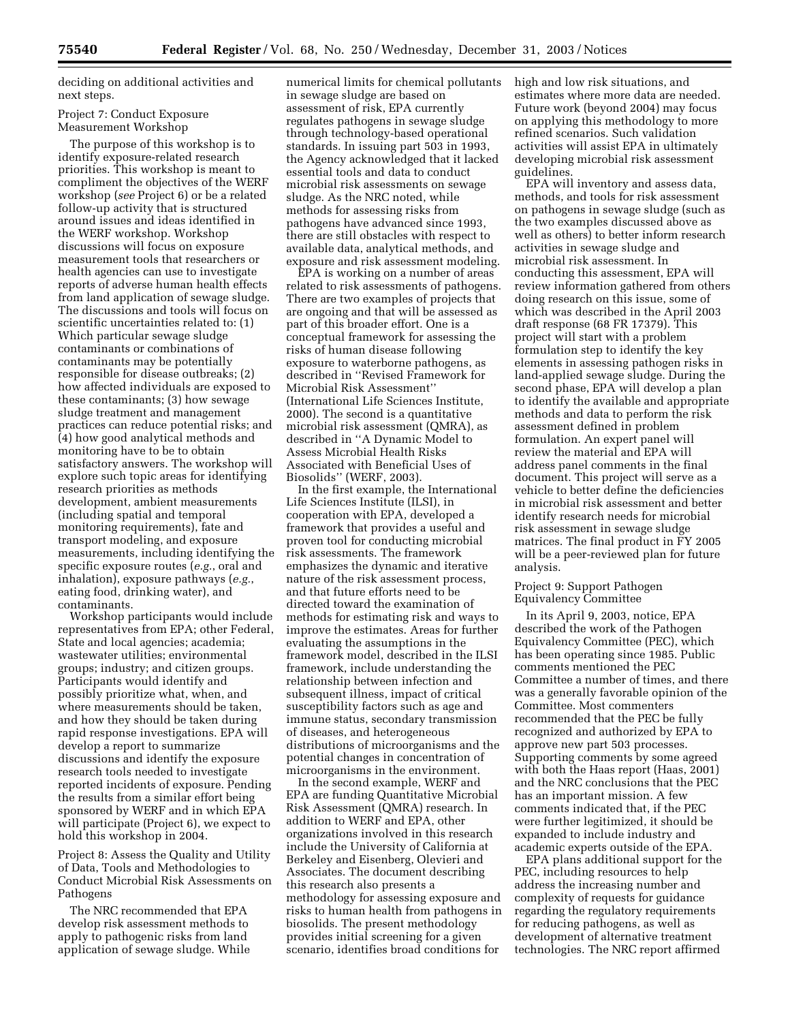deciding on additional activities and next steps.

#### Project 7: Conduct Exposure Measurement Workshop

The purpose of this workshop is to identify exposure-related research priorities. This workshop is meant to compliment the objectives of the WERF workshop (*see* Project 6) or be a related follow-up activity that is structured around issues and ideas identified in the WERF workshop. Workshop discussions will focus on exposure measurement tools that researchers or health agencies can use to investigate reports of adverse human health effects from land application of sewage sludge. The discussions and tools will focus on scientific uncertainties related to: (1) Which particular sewage sludge contaminants or combinations of contaminants may be potentially responsible for disease outbreaks; (2) how affected individuals are exposed to these contaminants; (3) how sewage sludge treatment and management practices can reduce potential risks; and (4) how good analytical methods and monitoring have to be to obtain satisfactory answers. The workshop will explore such topic areas for identifying research priorities as methods development, ambient measurements (including spatial and temporal monitoring requirements), fate and transport modeling, and exposure measurements, including identifying the specific exposure routes (*e.g.*, oral and inhalation), exposure pathways (*e.g.*, eating food, drinking water), and contaminants.

Workshop participants would include representatives from EPA; other Federal, State and local agencies; academia; wastewater utilities; environmental groups; industry; and citizen groups. Participants would identify and possibly prioritize what, when, and where measurements should be taken, and how they should be taken during rapid response investigations. EPA will develop a report to summarize discussions and identify the exposure research tools needed to investigate reported incidents of exposure. Pending the results from a similar effort being sponsored by WERF and in which EPA will participate (Project 6), we expect to hold this workshop in 2004.

Project 8: Assess the Quality and Utility of Data, Tools and Methodologies to Conduct Microbial Risk Assessments on Pathogens

The NRC recommended that EPA develop risk assessment methods to apply to pathogenic risks from land application of sewage sludge. While

numerical limits for chemical pollutants in sewage sludge are based on assessment of risk, EPA currently regulates pathogens in sewage sludge through technology-based operational standards. In issuing part 503 in 1993, the Agency acknowledged that it lacked essential tools and data to conduct microbial risk assessments on sewage sludge. As the NRC noted, while methods for assessing risks from pathogens have advanced since 1993, there are still obstacles with respect to available data, analytical methods, and exposure and risk assessment modeling.

EPA is working on a number of areas related to risk assessments of pathogens. There are two examples of projects that are ongoing and that will be assessed as part of this broader effort. One is a conceptual framework for assessing the risks of human disease following exposure to waterborne pathogens, as described in ''Revised Framework for Microbial Risk Assessment'' (International Life Sciences Institute, 2000). The second is a quantitative microbial risk assessment (QMRA), as described in ''A Dynamic Model to Assess Microbial Health Risks Associated with Beneficial Uses of Biosolids'' (WERF, 2003).

In the first example, the International Life Sciences Institute (ILSI), in cooperation with EPA, developed a framework that provides a useful and proven tool for conducting microbial risk assessments. The framework emphasizes the dynamic and iterative nature of the risk assessment process, and that future efforts need to be directed toward the examination of methods for estimating risk and ways to improve the estimates. Areas for further evaluating the assumptions in the framework model, described in the ILSI framework, include understanding the relationship between infection and subsequent illness, impact of critical susceptibility factors such as age and immune status, secondary transmission of diseases, and heterogeneous distributions of microorganisms and the potential changes in concentration of microorganisms in the environment.

In the second example, WERF and EPA are funding Quantitative Microbial Risk Assessment (QMRA) research. In addition to WERF and EPA, other organizations involved in this research include the University of California at Berkeley and Eisenberg, Olevieri and Associates. The document describing this research also presents a methodology for assessing exposure and risks to human health from pathogens in biosolids. The present methodology provides initial screening for a given scenario, identifies broad conditions for

high and low risk situations, and estimates where more data are needed. Future work (beyond 2004) may focus on applying this methodology to more refined scenarios. Such validation activities will assist EPA in ultimately developing microbial risk assessment guidelines.

EPA will inventory and assess data, methods, and tools for risk assessment on pathogens in sewage sludge (such as the two examples discussed above as well as others) to better inform research activities in sewage sludge and microbial risk assessment. In conducting this assessment, EPA will review information gathered from others doing research on this issue, some of which was described in the April 2003 draft response (68 FR 17379). This project will start with a problem formulation step to identify the key elements in assessing pathogen risks in land-applied sewage sludge. During the second phase, EPA will develop a plan to identify the available and appropriate methods and data to perform the risk assessment defined in problem formulation. An expert panel will review the material and EPA will address panel comments in the final document. This project will serve as a vehicle to better define the deficiencies in microbial risk assessment and better identify research needs for microbial risk assessment in sewage sludge matrices. The final product in FY 2005 will be a peer-reviewed plan for future analysis.

Project 9: Support Pathogen Equivalency Committee

In its April 9, 2003, notice, EPA described the work of the Pathogen Equivalency Committee (PEC), which has been operating since 1985. Public comments mentioned the PEC Committee a number of times, and there was a generally favorable opinion of the Committee. Most commenters recommended that the PEC be fully recognized and authorized by EPA to approve new part 503 processes. Supporting comments by some agreed with both the Haas report (Haas, 2001) and the NRC conclusions that the PEC has an important mission. A few comments indicated that, if the PEC were further legitimized, it should be expanded to include industry and academic experts outside of the EPA.

EPA plans additional support for the PEC, including resources to help address the increasing number and complexity of requests for guidance regarding the regulatory requirements for reducing pathogens, as well as development of alternative treatment technologies. The NRC report affirmed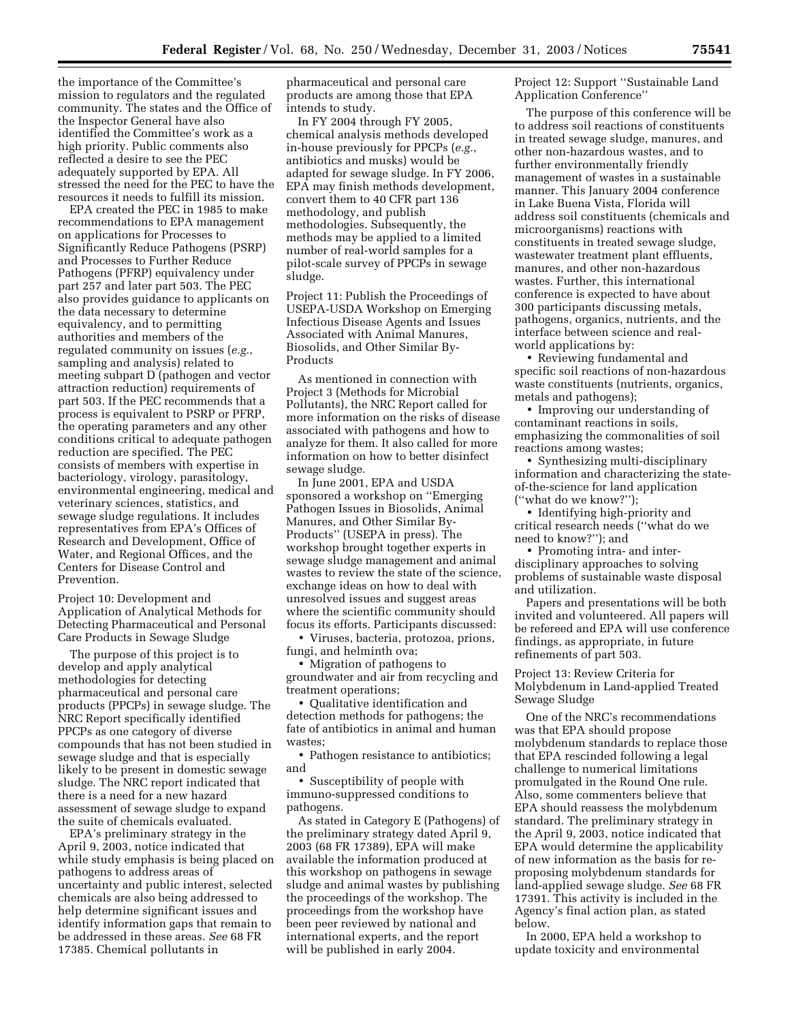the importance of the Committee's mission to regulators and the regulated community. The states and the Office of the Inspector General have also identified the Committee's work as a high priority. Public comments also reflected a desire to see the PEC adequately supported by EPA. All stressed the need for the PEC to have the resources it needs to fulfill its mission.

EPA created the PEC in 1985 to make recommendations to EPA management on applications for Processes to Significantly Reduce Pathogens (PSRP) and Processes to Further Reduce Pathogens (PFRP) equivalency under part 257 and later part 503. The PEC also provides guidance to applicants on the data necessary to determine equivalency, and to permitting authorities and members of the regulated community on issues (*e.g.*, sampling and analysis) related to meeting subpart D (pathogen and vector attraction reduction) requirements of part 503. If the PEC recommends that a process is equivalent to PSRP or PFRP, the operating parameters and any other conditions critical to adequate pathogen reduction are specified. The PEC consists of members with expertise in bacteriology, virology, parasitology, environmental engineering, medical and veterinary sciences, statistics, and sewage sludge regulations. It includes representatives from EPA's Offices of Research and Development, Office of Water, and Regional Offices, and the Centers for Disease Control and Prevention.

Project 10: Development and Application of Analytical Methods for Detecting Pharmaceutical and Personal Care Products in Sewage Sludge

The purpose of this project is to develop and apply analytical methodologies for detecting pharmaceutical and personal care products (PPCPs) in sewage sludge. The NRC Report specifically identified PPCPs as one category of diverse compounds that has not been studied in sewage sludge and that is especially likely to be present in domestic sewage sludge. The NRC report indicated that there is a need for a new hazard assessment of sewage sludge to expand the suite of chemicals evaluated.

EPA's preliminary strategy in the April 9, 2003, notice indicated that while study emphasis is being placed on pathogens to address areas of uncertainty and public interest, selected chemicals are also being addressed to help determine significant issues and identify information gaps that remain to be addressed in these areas. *See* 68 FR 17385. Chemical pollutants in

pharmaceutical and personal care products are among those that EPA intends to study.

In FY 2004 through FY 2005, chemical analysis methods developed in-house previously for PPCPs (*e.g.*, antibiotics and musks) would be adapted for sewage sludge. In FY 2006, EPA may finish methods development, convert them to 40 CFR part 136 methodology, and publish methodologies. Subsequently, the methods may be applied to a limited number of real-world samples for a pilot-scale survey of PPCPs in sewage sludge.

Project 11: Publish the Proceedings of USEPA-USDA Workshop on Emerging Infectious Disease Agents and Issues Associated with Animal Manures, Biosolids, and Other Similar By-Products

As mentioned in connection with Project 3 (Methods for Microbial Pollutants), the NRC Report called for more information on the risks of disease associated with pathogens and how to analyze for them. It also called for more information on how to better disinfect sewage sludge.

In June 2001, EPA and USDA sponsored a workshop on ''Emerging Pathogen Issues in Biosolids, Animal Manures, and Other Similar By-Products'' (USEPA in press). The workshop brought together experts in sewage sludge management and animal wastes to review the state of the science, exchange ideas on how to deal with unresolved issues and suggest areas where the scientific community should focus its efforts. Participants discussed:

• Viruses, bacteria, protozoa, prions, fungi, and helminth ova;

• Migration of pathogens to groundwater and air from recycling and treatment operations;

• Qualitative identification and detection methods for pathogens; the fate of antibiotics in animal and human wastes;

• Pathogen resistance to antibiotics; and

• Susceptibility of people with immuno-suppressed conditions to pathogens.

As stated in Category E (Pathogens) of the preliminary strategy dated April 9, 2003 (68 FR 17389), EPA will make available the information produced at this workshop on pathogens in sewage sludge and animal wastes by publishing the proceedings of the workshop. The proceedings from the workshop have been peer reviewed by national and international experts, and the report will be published in early 2004.

Project 12: Support ''Sustainable Land Application Conference''

The purpose of this conference will be to address soil reactions of constituents in treated sewage sludge, manures, and other non-hazardous wastes, and to further environmentally friendly management of wastes in a sustainable manner. This January 2004 conference in Lake Buena Vista, Florida will address soil constituents (chemicals and microorganisms) reactions with constituents in treated sewage sludge, wastewater treatment plant effluents, manures, and other non-hazardous wastes. Further, this international conference is expected to have about 300 participants discussing metals, pathogens, organics, nutrients, and the interface between science and realworld applications by:

• Reviewing fundamental and specific soil reactions of non-hazardous waste constituents (nutrients, organics, metals and pathogens);

• Improving our understanding of contaminant reactions in soils, emphasizing the commonalities of soil reactions among wastes;

• Synthesizing multi-disciplinary information and characterizing the stateof-the-science for land application (''what do we know?'');

• Identifying high-priority and critical research needs (''what do we need to know?''); and

• Promoting intra- and interdisciplinary approaches to solving problems of sustainable waste disposal and utilization.

Papers and presentations will be both invited and volunteered. All papers will be refereed and EPA will use conference findings, as appropriate, in future refinements of part 503.

Project 13: Review Criteria for Molybdenum in Land-applied Treated Sewage Sludge

One of the NRC's recommendations was that EPA should propose molybdenum standards to replace those that EPA rescinded following a legal challenge to numerical limitations promulgated in the Round One rule. Also, some commenters believe that EPA should reassess the molybdenum standard. The preliminary strategy in the April 9, 2003, notice indicated that EPA would determine the applicability of new information as the basis for reproposing molybdenum standards for land-applied sewage sludge. *See* 68 FR 17391. This activity is included in the Agency's final action plan, as stated below.

In 2000, EPA held a workshop to update toxicity and environmental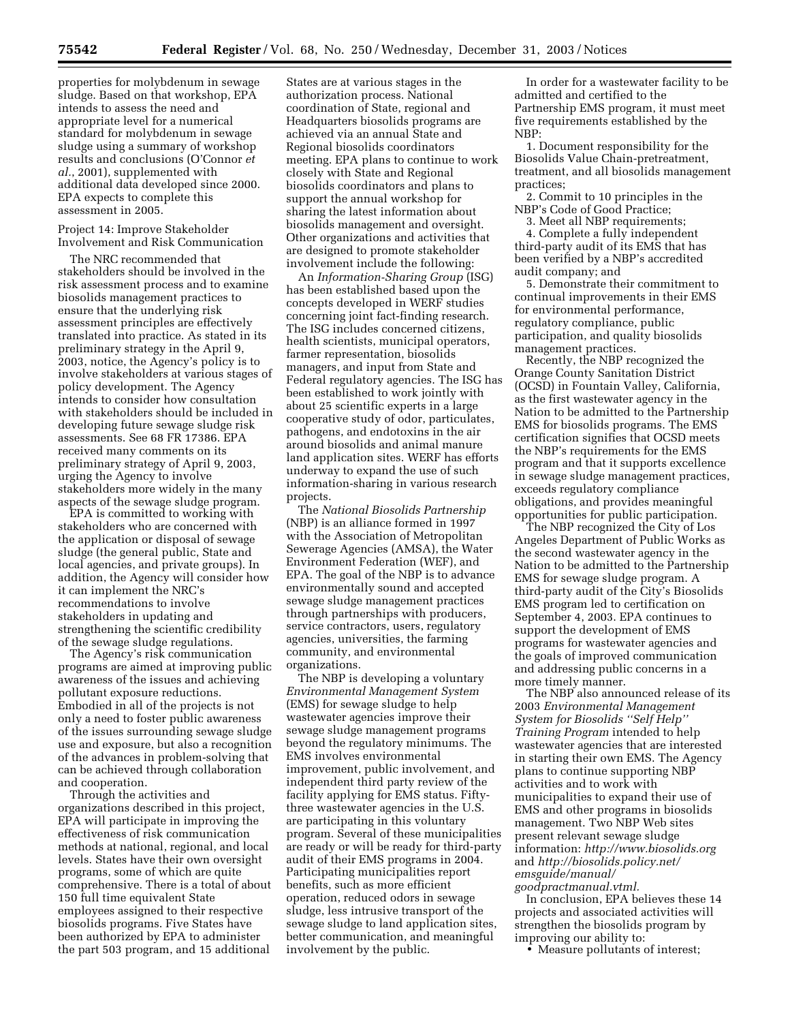properties for molybdenum in sewage sludge. Based on that workshop, EPA intends to assess the need and appropriate level for a numerical standard for molybdenum in sewage sludge using a summary of workshop results and conclusions (O'Connor *et al.*, 2001), supplemented with additional data developed since 2000. EPA expects to complete this assessment in 2005.

# Project 14: Improve Stakeholder Involvement and Risk Communication

The NRC recommended that stakeholders should be involved in the risk assessment process and to examine biosolids management practices to ensure that the underlying risk assessment principles are effectively translated into practice. As stated in its preliminary strategy in the April 9, 2003, notice, the Agency's policy is to involve stakeholders at various stages of policy development. The Agency intends to consider how consultation with stakeholders should be included in developing future sewage sludge risk assessments. See 68 FR 17386. EPA received many comments on its preliminary strategy of April 9, 2003, urging the Agency to involve stakeholders more widely in the many aspects of the sewage sludge program.

EPA is committed to working with stakeholders who are concerned with the application or disposal of sewage sludge (the general public, State and local agencies, and private groups). In addition, the Agency will consider how it can implement the NRC's recommendations to involve stakeholders in updating and strengthening the scientific credibility of the sewage sludge regulations.

The Agency's risk communication programs are aimed at improving public awareness of the issues and achieving pollutant exposure reductions. Embodied in all of the projects is not only a need to foster public awareness of the issues surrounding sewage sludge use and exposure, but also a recognition of the advances in problem-solving that can be achieved through collaboration and cooperation.

Through the activities and organizations described in this project, EPA will participate in improving the effectiveness of risk communication methods at national, regional, and local levels. States have their own oversight programs, some of which are quite comprehensive. There is a total of about 150 full time equivalent State employees assigned to their respective biosolids programs. Five States have been authorized by EPA to administer the part 503 program, and 15 additional

States are at various stages in the authorization process. National coordination of State, regional and Headquarters biosolids programs are achieved via an annual State and Regional biosolids coordinators meeting. EPA plans to continue to work closely with State and Regional biosolids coordinators and plans to support the annual workshop for sharing the latest information about biosolids management and oversight. Other organizations and activities that are designed to promote stakeholder involvement include the following:

An *Information-Sharing Group* (ISG) has been established based upon the concepts developed in WERF studies concerning joint fact-finding research. The ISG includes concerned citizens, health scientists, municipal operators, farmer representation, biosolids managers, and input from State and Federal regulatory agencies. The ISG has been established to work jointly with about 25 scientific experts in a large cooperative study of odor, particulates, pathogens, and endotoxins in the air around biosolids and animal manure land application sites. WERF has efforts underway to expand the use of such information-sharing in various research projects.

The *National Biosolids Partnership* (NBP) is an alliance formed in 1997 with the Association of Metropolitan Sewerage Agencies (AMSA), the Water Environment Federation (WEF), and EPA. The goal of the NBP is to advance environmentally sound and accepted sewage sludge management practices through partnerships with producers, service contractors, users, regulatory agencies, universities, the farming community, and environmental organizations.

The NBP is developing a voluntary *Environmental Management System* (EMS) for sewage sludge to help wastewater agencies improve their sewage sludge management programs beyond the regulatory minimums. The EMS involves environmental improvement, public involvement, and independent third party review of the facility applying for EMS status. Fiftythree wastewater agencies in the U.S. are participating in this voluntary program. Several of these municipalities are ready or will be ready for third-party audit of their EMS programs in 2004. Participating municipalities report benefits, such as more efficient operation, reduced odors in sewage sludge, less intrusive transport of the sewage sludge to land application sites, better communication, and meaningful involvement by the public.

In order for a wastewater facility to be admitted and certified to the Partnership EMS program, it must meet five requirements established by the NBP:

1. Document responsibility for the Biosolids Value Chain-pretreatment, treatment, and all biosolids management practices;

2. Commit to 10 principles in the NBP's Code of Good Practice;

3. Meet all NBP requirements; 4. Complete a fully independent third-party audit of its EMS that has been verified by a NBP's accredited audit company; and

5. Demonstrate their commitment to continual improvements in their EMS for environmental performance, regulatory compliance, public participation, and quality biosolids management practices.

Recently, the NBP recognized the Orange County Sanitation District (OCSD) in Fountain Valley, California, as the first wastewater agency in the Nation to be admitted to the Partnership EMS for biosolids programs. The EMS certification signifies that OCSD meets the NBP's requirements for the EMS program and that it supports excellence in sewage sludge management practices, exceeds regulatory compliance obligations, and provides meaningful opportunities for public participation.

The NBP recognized the City of Los Angeles Department of Public Works as the second wastewater agency in the Nation to be admitted to the Partnership EMS for sewage sludge program. A third-party audit of the City's Biosolids EMS program led to certification on September 4, 2003. EPA continues to support the development of EMS programs for wastewater agencies and the goals of improved communication and addressing public concerns in a more timely manner.

The NBP also announced release of its 2003 *Environmental Management System for Biosolids ''Self Help'' Training Program* intended to help wastewater agencies that are interested in starting their own EMS. The Agency plans to continue supporting NBP activities and to work with municipalities to expand their use of EMS and other programs in biosolids management. Two NBP Web sites present relevant sewage sludge information: *http://www.biosolids.org* and *http://biosolids.policy.net/ emsguide/manual/ goodpractmanual.vtml.*

In conclusion, EPA believes these 14 projects and associated activities will strengthen the biosolids program by improving our ability to:

• Measure pollutants of interest;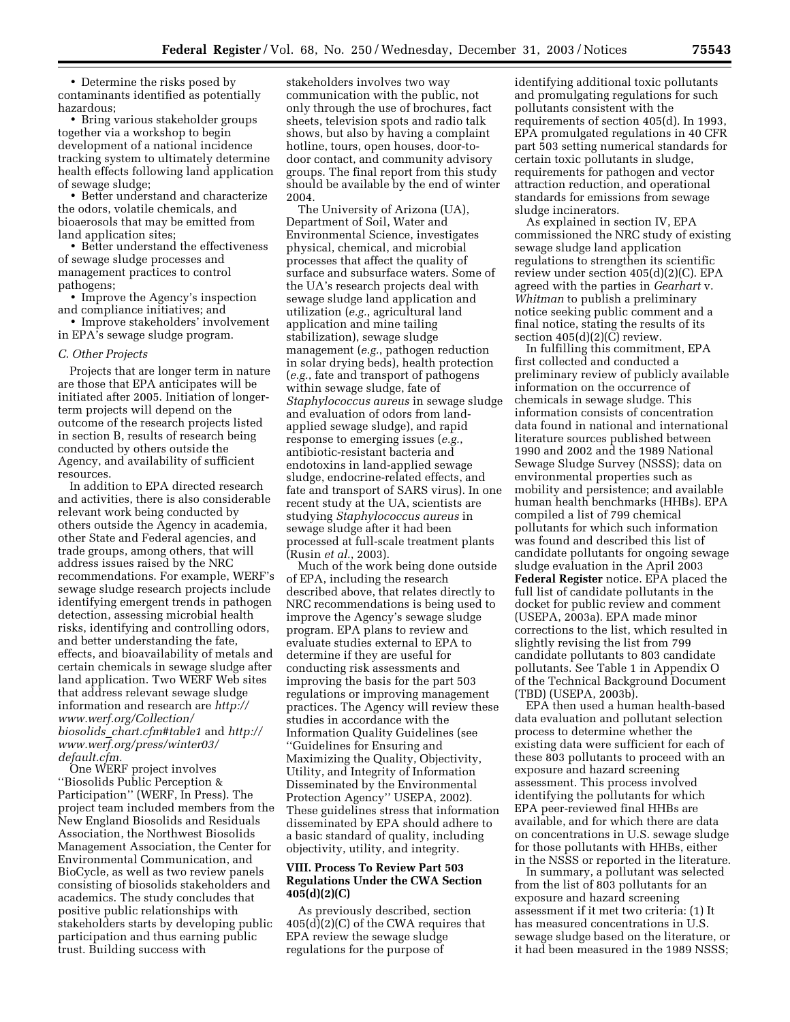• Determine the risks posed by contaminants identified as potentially hazardous;

• Bring various stakeholder groups together via a workshop to begin development of a national incidence tracking system to ultimately determine health effects following land application of sewage sludge;

• Better understand and characterize the odors, volatile chemicals, and bioaerosols that may be emitted from land application sites;

• Better understand the effectiveness of sewage sludge processes and management practices to control pathogens;

• Improve the Agency's inspection and compliance initiatives; and

• Improve stakeholders' involvement in EPA's sewage sludge program.

#### *C. Other Projects*

Projects that are longer term in nature are those that EPA anticipates will be initiated after 2005. Initiation of longerterm projects will depend on the outcome of the research projects listed in section B, results of research being conducted by others outside the Agency, and availability of sufficient resources.

In addition to EPA directed research and activities, there is also considerable relevant work being conducted by others outside the Agency in academia, other State and Federal agencies, and trade groups, among others, that will address issues raised by the NRC recommendations. For example, WERF's sewage sludge research projects include identifying emergent trends in pathogen detection, assessing microbial health risks, identifying and controlling odors, and better understanding the fate, effects, and bioavailability of metals and certain chemicals in sewage sludge after land application. Two WERF Web sites that address relevant sewage sludge information and research are *http:// www.werf.org/Collection/ biosolids*\_*chart.cfm#table1* and *http:// www.werf.org/press/winter03/ default.cfm.*

One WERF project involves ''Biosolids Public Perception & Participation'' (WERF, In Press). The project team included members from the New England Biosolids and Residuals Association, the Northwest Biosolids Management Association, the Center for Environmental Communication, and BioCycle, as well as two review panels consisting of biosolids stakeholders and academics. The study concludes that positive public relationships with stakeholders starts by developing public participation and thus earning public trust. Building success with

stakeholders involves two way communication with the public, not only through the use of brochures, fact sheets, television spots and radio talk shows, but also by having a complaint hotline, tours, open houses, door-todoor contact, and community advisory groups. The final report from this study should be available by the end of winter 2004.

The University of Arizona (UA), Department of Soil, Water and Environmental Science, investigates physical, chemical, and microbial processes that affect the quality of surface and subsurface waters. Some of the UA's research projects deal with sewage sludge land application and utilization (*e.g.*, agricultural land application and mine tailing stabilization), sewage sludge management (*e.g.*, pathogen reduction in solar drying beds), health protection (*e.g.*, fate and transport of pathogens within sewage sludge, fate of *Staphylococcus aureus* in sewage sludge and evaluation of odors from landapplied sewage sludge), and rapid response to emerging issues (*e.g.*, antibiotic-resistant bacteria and endotoxins in land-applied sewage sludge, endocrine-related effects, and fate and transport of SARS virus). In one recent study at the UA, scientists are studying *Staphylococcus aureus* in sewage sludge after it had been processed at full-scale treatment plants (Rusin *et al.*, 2003).

Much of the work being done outside of EPA, including the research described above, that relates directly to NRC recommendations is being used to improve the Agency's sewage sludge program. EPA plans to review and evaluate studies external to EPA to determine if they are useful for conducting risk assessments and improving the basis for the part 503 regulations or improving management practices. The Agency will review these studies in accordance with the Information Quality Guidelines (see ''Guidelines for Ensuring and Maximizing the Quality, Objectivity, Utility, and Integrity of Information Disseminated by the Environmental Protection Agency'' USEPA, 2002). These guidelines stress that information disseminated by EPA should adhere to a basic standard of quality, including objectivity, utility, and integrity.

# **VIII. Process To Review Part 503 Regulations Under the CWA Section 405(d)(2)(C)**

As previously described, section 405(d)(2)(C) of the CWA requires that EPA review the sewage sludge regulations for the purpose of

identifying additional toxic pollutants and promulgating regulations for such pollutants consistent with the requirements of section 405(d). In 1993, EPA promulgated regulations in 40 CFR part 503 setting numerical standards for certain toxic pollutants in sludge, requirements for pathogen and vector attraction reduction, and operational standards for emissions from sewage sludge incinerators.

As explained in section IV, EPA commissioned the NRC study of existing sewage sludge land application regulations to strengthen its scientific review under section 405(d)(2)(C). EPA agreed with the parties in *Gearhart* v. *Whitman* to publish a preliminary notice seeking public comment and a final notice, stating the results of its section 405(d)(2)(C) review.

In fulfilling this commitment, EPA first collected and conducted a preliminary review of publicly available information on the occurrence of chemicals in sewage sludge. This information consists of concentration data found in national and international literature sources published between 1990 and 2002 and the 1989 National Sewage Sludge Survey (NSSS); data on environmental properties such as mobility and persistence; and available human health benchmarks (HHBs). EPA compiled a list of 799 chemical pollutants for which such information was found and described this list of candidate pollutants for ongoing sewage sludge evaluation in the April 2003 **Federal Register** notice. EPA placed the full list of candidate pollutants in the docket for public review and comment (USEPA, 2003a). EPA made minor corrections to the list, which resulted in slightly revising the list from 799 candidate pollutants to 803 candidate pollutants. See Table 1 in Appendix O of the Technical Background Document (TBD) (USEPA, 2003b).

EPA then used a human health-based data evaluation and pollutant selection process to determine whether the existing data were sufficient for each of these 803 pollutants to proceed with an exposure and hazard screening assessment. This process involved identifying the pollutants for which EPA peer-reviewed final HHBs are available, and for which there are data on concentrations in U.S. sewage sludge for those pollutants with HHBs, either in the NSSS or reported in the literature.

In summary, a pollutant was selected from the list of 803 pollutants for an exposure and hazard screening assessment if it met two criteria: (1) It has measured concentrations in U.S. sewage sludge based on the literature, or it had been measured in the 1989 NSSS;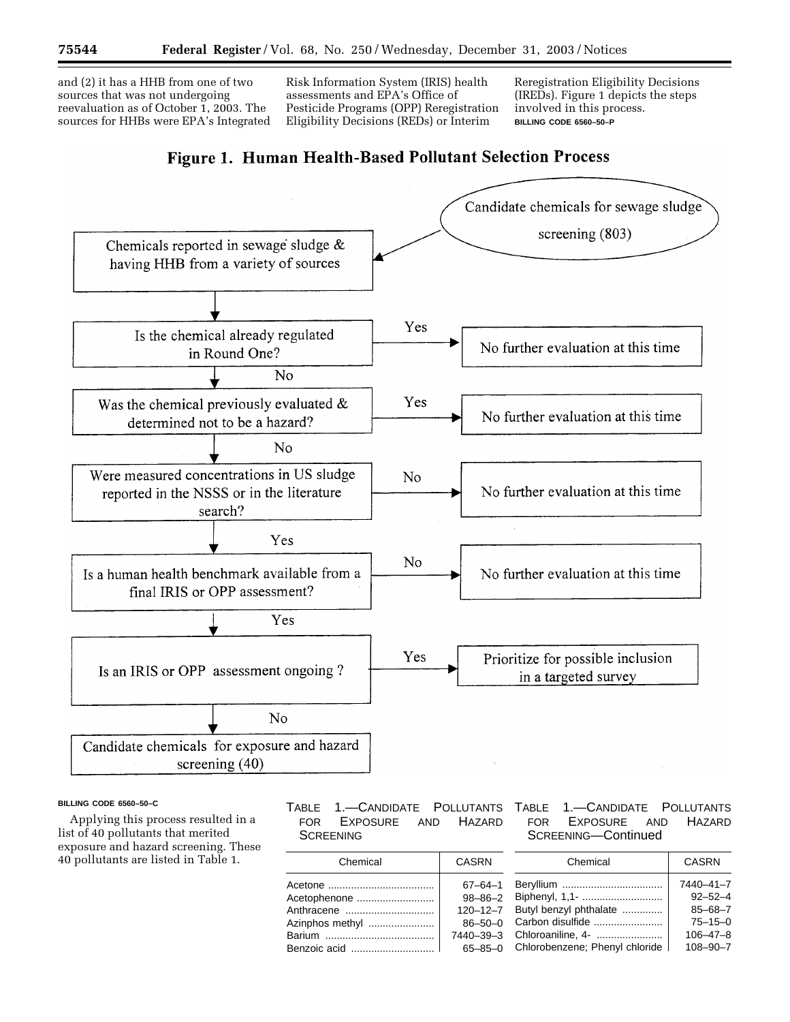and (2) it has a HHB from one of two sources that was not undergoing reevaluation as of October 1, 2003. The sources for HHBs were EPA's Integrated

Risk Information System (IRIS) health assessments and EPA's Office of Pesticide Programs (OPP) Reregistration Eligibility Decisions (REDs) or Interim

Reregistration Eligibility Decisions (IREDs). Figure 1 depicts the steps involved in this process. **BILLING CODE 6560–50–P**

# **Figure 1. Human Health-Based Pollutant Selection Process**



#### **BILLING CODE 6560–50–C**

Applying this process resulted in a list of 40 pollutants that merited exposure and hazard screening. These 40 pollutants are listed in Table 1.

# TABLE 1.—CANDIDATE POLLUTANTS FOR EXPOSURE AND HAZARD **SCREENING**

| Chemical                                      | CASRN                                                                                           |
|-----------------------------------------------|-------------------------------------------------------------------------------------------------|
| Acetophenone<br>Anthracene<br>Azinphos methyl | $67 - 64 - 1$<br>$98 - 86 - 2$<br>$120 - 12 - 7$<br>$86 - 50 - 0$<br>7440-39-3<br>$65 - 85 - 0$ |

# TABLE 1.—CANDIDATE POLLUTANTS FOR EXPOSURE AND HAZARD SCREENING—Continued

| Chemical                       | <b>CASRN</b>   |
|--------------------------------|----------------|
|                                | 7440-41-7      |
| Biphenyl, 1,1-                 | $92 - 52 - 4$  |
| Butyl benzyl phthalate         | $85 - 68 - 7$  |
| Carbon disulfide               | $75 - 15 - 0$  |
| Chloroaniline, 4-              | $106 - 47 - 8$ |
| Chlorobenzene; Phenyl chloride | $108 - 90 - 7$ |
|                                |                |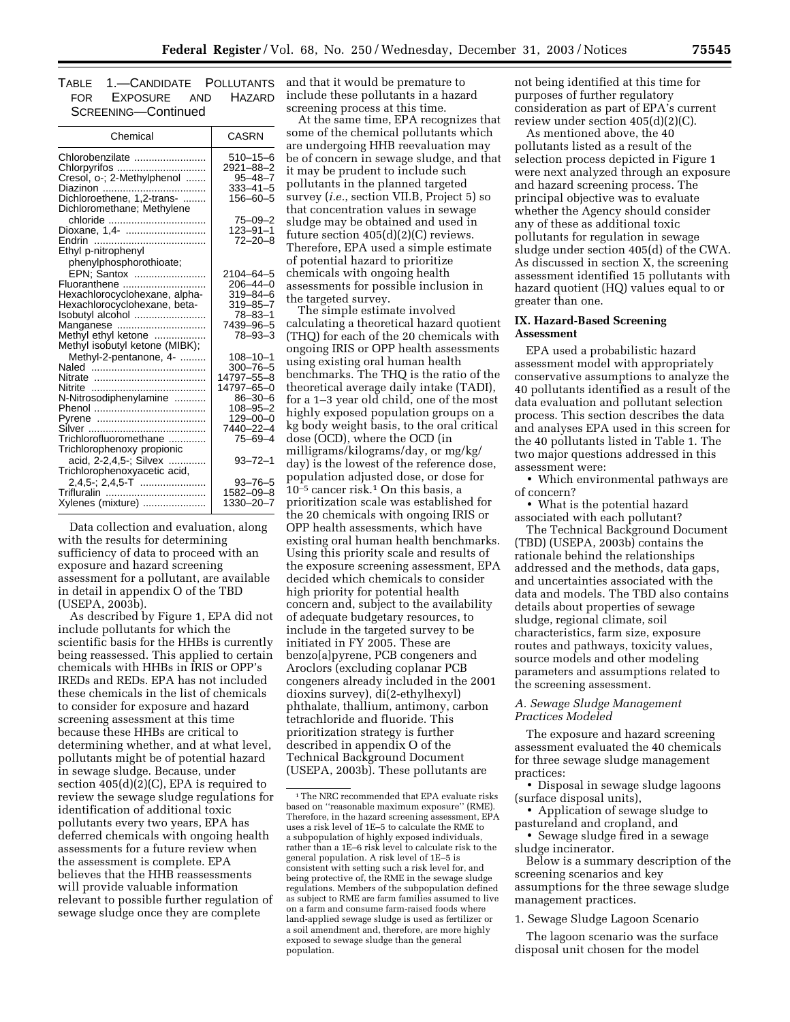| TABLE 1.—CANDIDATE POLLUTANTS |  |
|-------------------------------|--|
| FOR EXPOSURE AND HAZARD       |  |
| SCREENING-Continued           |  |

| Chemical                                                                                                                                    | CASRN                                                                |
|---------------------------------------------------------------------------------------------------------------------------------------------|----------------------------------------------------------------------|
| Chlorobenzilate<br>Chlorpyrifos<br>Cresol, o-; 2-Methylphenol                                                                               | 510-15-6<br>2921-88-2<br>$95 - 48 - 7$<br>$333 - 41 - 5$             |
| Dichloromethane; Methylene                                                                                                                  | 156-60-5                                                             |
| chloride<br>Dioxane, 1,4-<br>Endrin<br>Ethyl p-nitrophenyl                                                                                  | $75 - 09 - 2$<br>$123 - 91 - 1$<br>$72 - 20 - 8$                     |
| phenylphosphorothioate;<br>EPN; Santox<br>Fluoranthene<br>Hexachlorocyclohexane, alpha-<br>Hexachlorocyclohexane, beta-<br>Isobutyl alcohol | 2104–64–5<br>$206 - 44 - 0$<br>319–84–6<br>319-85-7<br>$78 - 83 - 1$ |
| Manganese<br>Methyl ethyl ketone<br>Methyl isobutyl ketone (MIBK);                                                                          | 7439-96-5<br>$78 - 93 - 3$                                           |
| Methyl-2-pentanone, 4-<br>Naled<br>Nitrate<br>Nitrite                                                                                       | $108 - 10 - 1$<br>$300 - 76 - 5$<br>14797-55-8<br>14797-65-0         |
| N-Nitrosodiphenylamine<br>Pyrene                                                                                                            | $86 - 30 - 6$<br>$108 - 95 - 2$<br>$129 - 00 - 0$<br>7440-22-4       |
| Trichlorofluoromethane<br>Trichlorophenoxy propionic                                                                                        | $75 - 69 - 4$                                                        |
| acid, 2-2,4,5-; Silvex<br>Trichlorophenoxyacetic acid,                                                                                      | 93–72–1                                                              |
| Xylenes (mixture)                                                                                                                           | $93 - 76 - 5$<br>1582-09-8<br>1330-20-7                              |

Data collection and evaluation, along with the results for determining sufficiency of data to proceed with an exposure and hazard screening assessment for a pollutant, are available in detail in appendix O of the TBD (USEPA, 2003b).

As described by Figure 1, EPA did not include pollutants for which the scientific basis for the HHBs is currently being reassessed. This applied to certain chemicals with HHBs in IRIS or OPP's IREDs and REDs. EPA has not included these chemicals in the list of chemicals to consider for exposure and hazard screening assessment at this time because these HHBs are critical to determining whether, and at what level, pollutants might be of potential hazard in sewage sludge. Because, under section  $405(d)(2)(C)$ , EPA is required to review the sewage sludge regulations for identification of additional toxic pollutants every two years, EPA has deferred chemicals with ongoing health assessments for a future review when the assessment is complete. EPA believes that the HHB reassessments will provide valuable information relevant to possible further regulation of sewage sludge once they are complete

and that it would be premature to include these pollutants in a hazard screening process at this time.

At the same time, EPA recognizes that some of the chemical pollutants which are undergoing HHB reevaluation may be of concern in sewage sludge, and that it may be prudent to include such pollutants in the planned targeted survey (*i.e.*, section VII.B, Project 5) so that concentration values in sewage sludge may be obtained and used in future section 405(d)(2)(C) reviews. Therefore, EPA used a simple estimate of potential hazard to prioritize chemicals with ongoing health assessments for possible inclusion in the targeted survey.

The simple estimate involved calculating a theoretical hazard quotient (THQ) for each of the 20 chemicals with ongoing IRIS or OPP health assessments using existing oral human health benchmarks. The THQ is the ratio of the theoretical average daily intake (TADI), for a 1–3 year old child, one of the most highly exposed population groups on a kg body weight basis, to the oral critical dose (OCD), where the OCD (in milligrams/kilograms/day, or mg/kg/ day) is the lowest of the reference dose, population adjusted dose, or dose for 10–5 cancer risk.1 On this basis, a prioritization scale was established for the 20 chemicals with ongoing IRIS or OPP health assessments, which have existing oral human health benchmarks. Using this priority scale and results of the exposure screening assessment, EPA decided which chemicals to consider high priority for potential health concern and, subject to the availability of adequate budgetary resources, to include in the targeted survey to be initiated in FY 2005. These are benzo[a]pyrene, PCB congeners and Aroclors (excluding coplanar PCB congeners already included in the 2001 dioxins survey), di(2-ethylhexyl) phthalate, thallium, antimony, carbon tetrachloride and fluoride. This prioritization strategy is further described in appendix O of the Technical Background Document (USEPA, 2003b). These pollutants are

not being identified at this time for purposes of further regulatory consideration as part of EPA's current review under section 405(d)(2)(C).

As mentioned above, the 40 pollutants listed as a result of the selection process depicted in Figure 1 were next analyzed through an exposure and hazard screening process. The principal objective was to evaluate whether the Agency should consider any of these as additional toxic pollutants for regulation in sewage sludge under section 405(d) of the CWA. As discussed in section X, the screening assessment identified 15 pollutants with hazard quotient (HQ) values equal to or greater than one.

# **IX. Hazard-Based Screening Assessment**

EPA used a probabilistic hazard assessment model with appropriately conservative assumptions to analyze the 40 pollutants identified as a result of the data evaluation and pollutant selection process. This section describes the data and analyses EPA used in this screen for the 40 pollutants listed in Table 1. The two major questions addressed in this assessment were:

• Which environmental pathways are of concern?

• What is the potential hazard associated with each pollutant?

The Technical Background Document (TBD) (USEPA, 2003b) contains the rationale behind the relationships addressed and the methods, data gaps, and uncertainties associated with the data and models. The TBD also contains details about properties of sewage sludge, regional climate, soil characteristics, farm size, exposure routes and pathways, toxicity values, source models and other modeling parameters and assumptions related to the screening assessment.

# *A. Sewage Sludge Management Practices Modeled*

The exposure and hazard screening assessment evaluated the 40 chemicals for three sewage sludge management practices:

• Disposal in sewage sludge lagoons (surface disposal units),

• Application of sewage sludge to pastureland and cropland, and

• Sewage sludge fired in a sewage sludge incinerator.

Below is a summary description of the screening scenarios and key assumptions for the three sewage sludge management practices.

1. Sewage Sludge Lagoon Scenario

The lagoon scenario was the surface disposal unit chosen for the model

<sup>1</sup>The NRC recommended that EPA evaluate risks based on ''reasonable maximum exposure'' (RME). Therefore, in the hazard screening assessment, EPA uses a risk level of 1E–5 to calculate the RME to a subpopulation of highly exposed individuals, rather than a 1E–6 risk level to calculate risk to the general population. A risk level of 1E–5 is consistent with setting such a risk level for, and being protective of, the RME in the sewage sludge regulations. Members of the subpopulation defined as subject to RME are farm families assumed to live on a farm and consume farm-raised foods where land-applied sewage sludge is used as fertilizer or a soil amendment and, therefore, are more highly exposed to sewage sludge than the general population.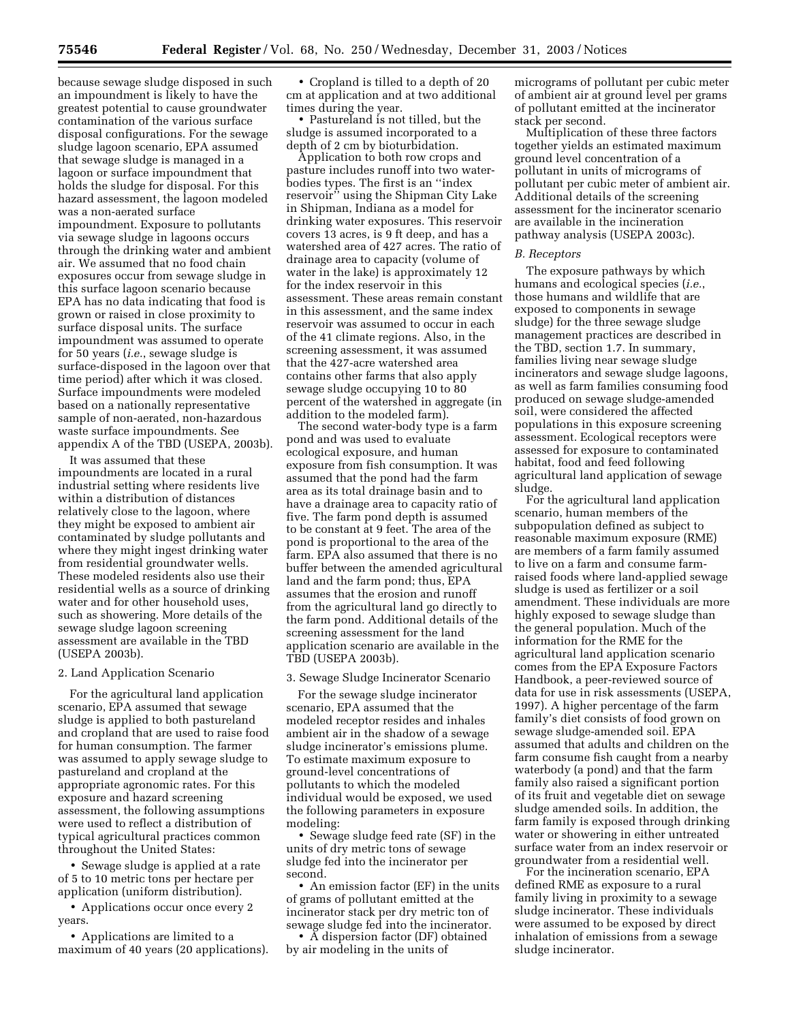because sewage sludge disposed in such an impoundment is likely to have the greatest potential to cause groundwater contamination of the various surface disposal configurations. For the sewage sludge lagoon scenario, EPA assumed that sewage sludge is managed in a lagoon or surface impoundment that holds the sludge for disposal. For this hazard assessment, the lagoon modeled was a non-aerated surface impoundment. Exposure to pollutants via sewage sludge in lagoons occurs through the drinking water and ambient air. We assumed that no food chain exposures occur from sewage sludge in this surface lagoon scenario because EPA has no data indicating that food is grown or raised in close proximity to surface disposal units. The surface impoundment was assumed to operate for 50 years (*i.e.*, sewage sludge is surface-disposed in the lagoon over that time period) after which it was closed. Surface impoundments were modeled based on a nationally representative sample of non-aerated, non-hazardous waste surface impoundments. See appendix A of the TBD (USEPA, 2003b).

It was assumed that these impoundments are located in a rural industrial setting where residents live within a distribution of distances relatively close to the lagoon, where they might be exposed to ambient air contaminated by sludge pollutants and where they might ingest drinking water from residential groundwater wells. These modeled residents also use their residential wells as a source of drinking water and for other household uses, such as showering. More details of the sewage sludge lagoon screening assessment are available in the TBD (USEPA 2003b).

#### 2. Land Application Scenario

For the agricultural land application scenario, EPA assumed that sewage sludge is applied to both pastureland and cropland that are used to raise food for human consumption. The farmer was assumed to apply sewage sludge to pastureland and cropland at the appropriate agronomic rates. For this exposure and hazard screening assessment, the following assumptions were used to reflect a distribution of typical agricultural practices common throughout the United States:

• Sewage sludge is applied at a rate of 5 to 10 metric tons per hectare per application (uniform distribution).

• Applications occur once every 2 years.

• Applications are limited to a maximum of 40 years (20 applications).

• Cropland is tilled to a depth of 20 cm at application and at two additional times during the year.

• Pastureland is not tilled, but the sludge is assumed incorporated to a depth of 2 cm by bioturbidation.

Application to both row crops and pasture includes runoff into two waterbodies types. The first is an ''index reservoir'' using the Shipman City Lake in Shipman, Indiana as a model for drinking water exposures. This reservoir covers 13 acres, is 9 ft deep, and has a watershed area of 427 acres. The ratio of drainage area to capacity (volume of water in the lake) is approximately 12 for the index reservoir in this assessment. These areas remain constant in this assessment, and the same index reservoir was assumed to occur in each of the 41 climate regions. Also, in the screening assessment, it was assumed that the 427-acre watershed area contains other farms that also apply sewage sludge occupying 10 to 80 percent of the watershed in aggregate (in addition to the modeled farm).

The second water-body type is a farm pond and was used to evaluate ecological exposure, and human exposure from fish consumption. It was assumed that the pond had the farm area as its total drainage basin and to have a drainage area to capacity ratio of five. The farm pond depth is assumed to be constant at 9 feet. The area of the pond is proportional to the area of the farm. EPA also assumed that there is no buffer between the amended agricultural land and the farm pond; thus, EPA assumes that the erosion and runoff from the agricultural land go directly to the farm pond. Additional details of the screening assessment for the land application scenario are available in the TBD (USEPA 2003b).

# 3. Sewage Sludge Incinerator Scenario

For the sewage sludge incinerator scenario, EPA assumed that the modeled receptor resides and inhales ambient air in the shadow of a sewage sludge incinerator's emissions plume. To estimate maximum exposure to ground-level concentrations of pollutants to which the modeled individual would be exposed, we used the following parameters in exposure modeling:

• Sewage sludge feed rate (SF) in the units of dry metric tons of sewage sludge fed into the incinerator per second.

• An emission factor (EF) in the units of grams of pollutant emitted at the incinerator stack per dry metric ton of sewage sludge fed into the incinerator.

• A dispersion factor (DF) obtained by air modeling in the units of

micrograms of pollutant per cubic meter of ambient air at ground level per grams of pollutant emitted at the incinerator stack per second.

Multiplication of these three factors together yields an estimated maximum ground level concentration of a pollutant in units of micrograms of pollutant per cubic meter of ambient air. Additional details of the screening assessment for the incinerator scenario are available in the incineration pathway analysis (USEPA 2003c).

#### *B. Receptors*

The exposure pathways by which humans and ecological species (*i.e.*, those humans and wildlife that are exposed to components in sewage sludge) for the three sewage sludge management practices are described in the TBD, section 1.7. In summary, families living near sewage sludge incinerators and sewage sludge lagoons, as well as farm families consuming food produced on sewage sludge-amended soil, were considered the affected populations in this exposure screening assessment. Ecological receptors were assessed for exposure to contaminated habitat, food and feed following agricultural land application of sewage sludge.

For the agricultural land application scenario, human members of the subpopulation defined as subject to reasonable maximum exposure (RME) are members of a farm family assumed to live on a farm and consume farmraised foods where land-applied sewage sludge is used as fertilizer or a soil amendment. These individuals are more highly exposed to sewage sludge than the general population. Much of the information for the RME for the agricultural land application scenario comes from the EPA Exposure Factors Handbook, a peer-reviewed source of data for use in risk assessments (USEPA, 1997). A higher percentage of the farm family's diet consists of food grown on sewage sludge-amended soil. EPA assumed that adults and children on the farm consume fish caught from a nearby waterbody (a pond) and that the farm family also raised a significant portion of its fruit and vegetable diet on sewage sludge amended soils. In addition, the farm family is exposed through drinking water or showering in either untreated surface water from an index reservoir or groundwater from a residential well.

For the incineration scenario, EPA defined RME as exposure to a rural family living in proximity to a sewage sludge incinerator. These individuals were assumed to be exposed by direct inhalation of emissions from a sewage sludge incinerator.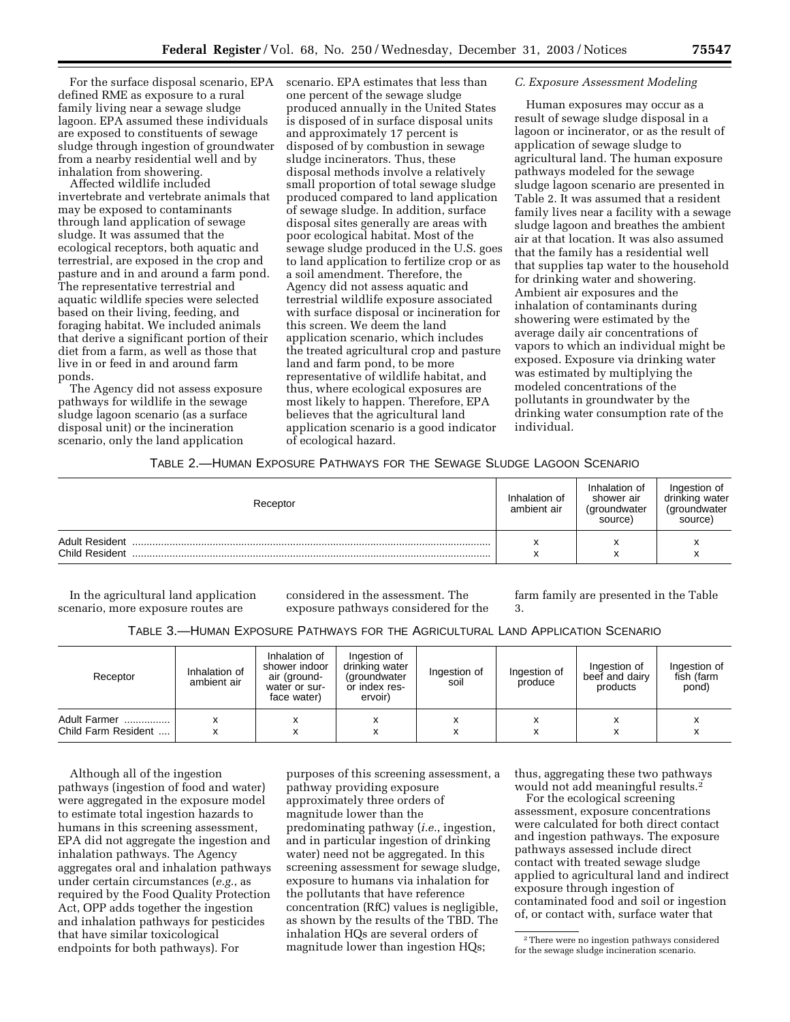For the surface disposal scenario, EPA defined RME as exposure to a rural family living near a sewage sludge lagoon. EPA assumed these individuals are exposed to constituents of sewage sludge through ingestion of groundwater from a nearby residential well and by inhalation from showering.

Affected wildlife included invertebrate and vertebrate animals that may be exposed to contaminants through land application of sewage sludge. It was assumed that the ecological receptors, both aquatic and terrestrial, are exposed in the crop and pasture and in and around a farm pond. The representative terrestrial and aquatic wildlife species were selected based on their living, feeding, and foraging habitat. We included animals that derive a significant portion of their diet from a farm, as well as those that live in or feed in and around farm ponds.

The Agency did not assess exposure pathways for wildlife in the sewage sludge lagoon scenario (as a surface disposal unit) or the incineration scenario, only the land application

scenario. EPA estimates that less than one percent of the sewage sludge produced annually in the United States is disposed of in surface disposal units and approximately 17 percent is disposed of by combustion in sewage sludge incinerators. Thus, these disposal methods involve a relatively small proportion of total sewage sludge produced compared to land application of sewage sludge. In addition, surface disposal sites generally are areas with poor ecological habitat. Most of the sewage sludge produced in the U.S. goes to land application to fertilize crop or as a soil amendment. Therefore, the Agency did not assess aquatic and terrestrial wildlife exposure associated with surface disposal or incineration for this screen. We deem the land application scenario, which includes the treated agricultural crop and pasture land and farm pond, to be more representative of wildlife habitat, and thus, where ecological exposures are most likely to happen. Therefore, EPA believes that the agricultural land application scenario is a good indicator of ecological hazard.

#### *C. Exposure Assessment Modeling*

Human exposures may occur as a result of sewage sludge disposal in a lagoon or incinerator, or as the result of application of sewage sludge to agricultural land. The human exposure pathways modeled for the sewage sludge lagoon scenario are presented in Table 2. It was assumed that a resident family lives near a facility with a sewage sludge lagoon and breathes the ambient air at that location. It was also assumed that the family has a residential well that supplies tap water to the household for drinking water and showering. Ambient air exposures and the inhalation of contaminants during showering were estimated by the average daily air concentrations of vapors to which an individual might be exposed. Exposure via drinking water was estimated by multiplying the modeled concentrations of the pollutants in groundwater by the drinking water consumption rate of the individual.

# TABLE 2.—HUMAN EXPOSURE PATHWAYS FOR THE SEWAGE SLUDGE LAGOON SCENARIO

| Receptor                                | Inhalation of<br>ambient air | Inhalation of<br>shower air<br>(groundwater<br>source) | Ingestion of<br>drinking water<br>(groundwater<br>source) |
|-----------------------------------------|------------------------------|--------------------------------------------------------|-----------------------------------------------------------|
| <b>Adult Resident</b><br>Child Resident |                              | $\checkmark$<br>́                                      |                                                           |

In the agricultural land application scenario, more exposure routes are

considered in the assessment. The exposure pathways considered for the farm family are presented in the Table 3.

| TABLE 3.—HUMAN EXPOSURE PATHWAYS FOR THE AGRICULTURAL LAND APPLICATION SCENARIO |  |
|---------------------------------------------------------------------------------|--|
|---------------------------------------------------------------------------------|--|

| Receptor                            | Inhalation of<br>ambient air | Inhalation of<br>shower indoor<br>air (ground-<br>water or sur-<br>face water) | Ingestion of<br>drinking water<br>(groundwater<br>or index res-<br>ervoir) | Ingestion of<br>soil | Ingestion of<br>produce | Ingestion of<br>beef and dairy<br>products | Ingestion of<br>fish (farm<br>pond) |
|-------------------------------------|------------------------------|--------------------------------------------------------------------------------|----------------------------------------------------------------------------|----------------------|-------------------------|--------------------------------------------|-------------------------------------|
| Adult Farmer<br>Child Farm Resident |                              | x                                                                              | x                                                                          | х<br>x               |                         | x                                          |                                     |

Although all of the ingestion pathways (ingestion of food and water) were aggregated in the exposure model to estimate total ingestion hazards to humans in this screening assessment, EPA did not aggregate the ingestion and inhalation pathways. The Agency aggregates oral and inhalation pathways under certain circumstances (*e.g.*, as required by the Food Quality Protection Act, OPP adds together the ingestion and inhalation pathways for pesticides that have similar toxicological endpoints for both pathways). For

purposes of this screening assessment, a pathway providing exposure approximately three orders of magnitude lower than the predominating pathway (*i.e.*, ingestion, and in particular ingestion of drinking water) need not be aggregated. In this screening assessment for sewage sludge, exposure to humans via inhalation for the pollutants that have reference concentration (RfC) values is negligible, as shown by the results of the TBD. The inhalation HQs are several orders of magnitude lower than ingestion HQs;

thus, aggregating these two pathways would not add meaningful results.2

For the ecological screening assessment, exposure concentrations were calculated for both direct contact and ingestion pathways. The exposure pathways assessed include direct contact with treated sewage sludge applied to agricultural land and indirect exposure through ingestion of contaminated food and soil or ingestion of, or contact with, surface water that

<sup>2</sup>There were no ingestion pathways considered for the sewage sludge incineration scenario.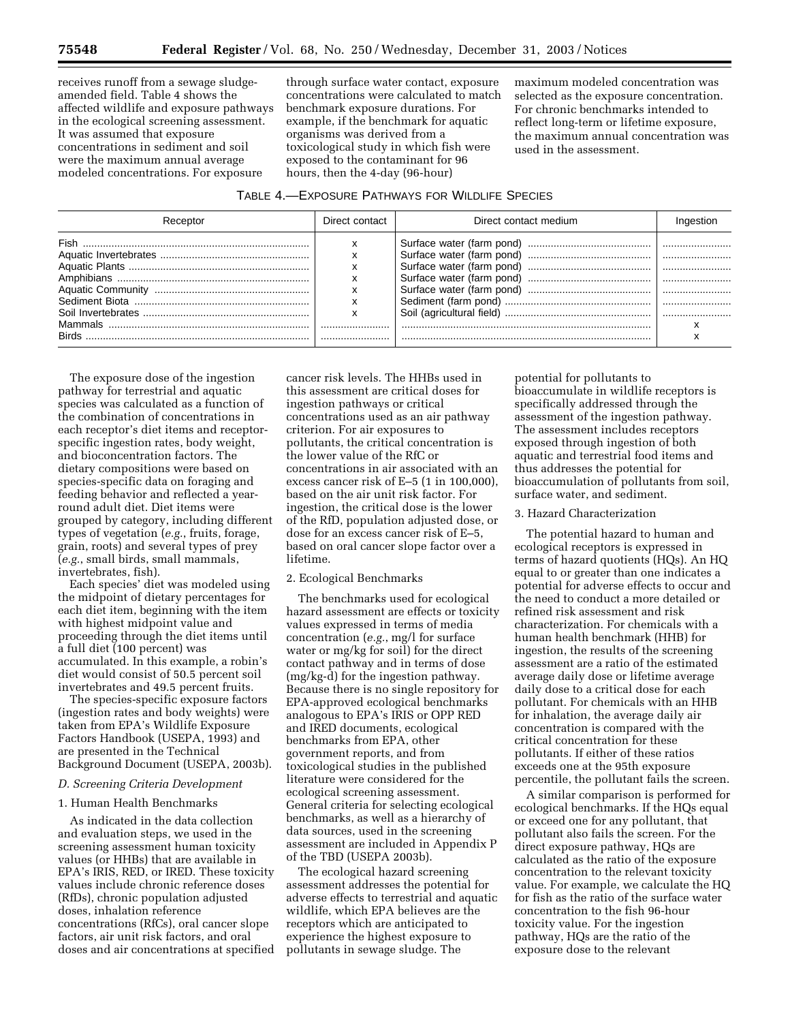receives runoff from a sewage sludgeamended field. Table 4 shows the affected wildlife and exposure pathways in the ecological screening assessment. It was assumed that exposure concentrations in sediment and soil were the maximum annual average modeled concentrations. For exposure

through surface water contact, exposure concentrations were calculated to match benchmark exposure durations. For example, if the benchmark for aquatic organisms was derived from a toxicological study in which fish were exposed to the contaminant for 96 hours, then the 4-day (96-hour)

maximum modeled concentration was selected as the exposure concentration. For chronic benchmarks intended to reflect long-term or lifetime exposure, the maximum annual concentration was used in the assessment.

| TABLE 4.-EXPOSURE PATHWAYS FOR WILDLIFE SPECIES |  |
|-------------------------------------------------|--|
|-------------------------------------------------|--|

| Receptor | Direct contact | Direct contact medium | Ingestion |
|----------|----------------|-----------------------|-----------|
| Fish     |                |                       |           |
| Birds    |                |                       |           |

The exposure dose of the ingestion pathway for terrestrial and aquatic species was calculated as a function of the combination of concentrations in each receptor's diet items and receptorspecific ingestion rates, body weight, and bioconcentration factors. The dietary compositions were based on species-specific data on foraging and feeding behavior and reflected a yearround adult diet. Diet items were grouped by category, including different types of vegetation (*e.g.*, fruits, forage, grain, roots) and several types of prey (*e.g.*, small birds, small mammals, invertebrates, fish).

Each species' diet was modeled using the midpoint of dietary percentages for each diet item, beginning with the item with highest midpoint value and proceeding through the diet items until a full diet (100 percent) was accumulated. In this example, a robin's diet would consist of 50.5 percent soil invertebrates and 49.5 percent fruits.

The species-specific exposure factors (ingestion rates and body weights) were taken from EPA's Wildlife Exposure Factors Handbook (USEPA, 1993) and are presented in the Technical Background Document (USEPA, 2003b).

# *D. Screening Criteria Development*

#### 1. Human Health Benchmarks

As indicated in the data collection and evaluation steps, we used in the screening assessment human toxicity values (or HHBs) that are available in EPA's IRIS, RED, or IRED. These toxicity values include chronic reference doses (RfDs), chronic population adjusted doses, inhalation reference concentrations (RfCs), oral cancer slope factors, air unit risk factors, and oral doses and air concentrations at specified

cancer risk levels. The HHBs used in this assessment are critical doses for ingestion pathways or critical concentrations used as an air pathway criterion. For air exposures to pollutants, the critical concentration is the lower value of the RfC or concentrations in air associated with an excess cancer risk of E–5 (1 in 100,000), based on the air unit risk factor. For ingestion, the critical dose is the lower of the RfD, population adjusted dose, or dose for an excess cancer risk of E–5, based on oral cancer slope factor over a lifetime.

#### 2. Ecological Benchmarks

The benchmarks used for ecological hazard assessment are effects or toxicity values expressed in terms of media concentration (*e.g.*, mg/l for surface water or mg/kg for soil) for the direct contact pathway and in terms of dose (mg/kg-d) for the ingestion pathway. Because there is no single repository for EPA-approved ecological benchmarks analogous to EPA's IRIS or OPP RED and IRED documents, ecological benchmarks from EPA, other government reports, and from toxicological studies in the published literature were considered for the ecological screening assessment. General criteria for selecting ecological benchmarks, as well as a hierarchy of data sources, used in the screening assessment are included in Appendix P of the TBD (USEPA 2003b).

The ecological hazard screening assessment addresses the potential for adverse effects to terrestrial and aquatic wildlife, which EPA believes are the receptors which are anticipated to experience the highest exposure to pollutants in sewage sludge. The

potential for pollutants to bioaccumulate in wildlife receptors is specifically addressed through the assessment of the ingestion pathway. The assessment includes receptors exposed through ingestion of both aquatic and terrestrial food items and thus addresses the potential for bioaccumulation of pollutants from soil, surface water, and sediment.

#### 3. Hazard Characterization

The potential hazard to human and ecological receptors is expressed in terms of hazard quotients (HQs). An HQ equal to or greater than one indicates a potential for adverse effects to occur and the need to conduct a more detailed or refined risk assessment and risk characterization. For chemicals with a human health benchmark (HHB) for ingestion, the results of the screening assessment are a ratio of the estimated average daily dose or lifetime average daily dose to a critical dose for each pollutant. For chemicals with an HHB for inhalation, the average daily air concentration is compared with the critical concentration for these pollutants. If either of these ratios exceeds one at the 95th exposure percentile, the pollutant fails the screen.

A similar comparison is performed for ecological benchmarks. If the HQs equal or exceed one for any pollutant, that pollutant also fails the screen. For the direct exposure pathway, HQs are calculated as the ratio of the exposure concentration to the relevant toxicity value. For example, we calculate the HQ for fish as the ratio of the surface water concentration to the fish 96-hour toxicity value. For the ingestion pathway, HQs are the ratio of the exposure dose to the relevant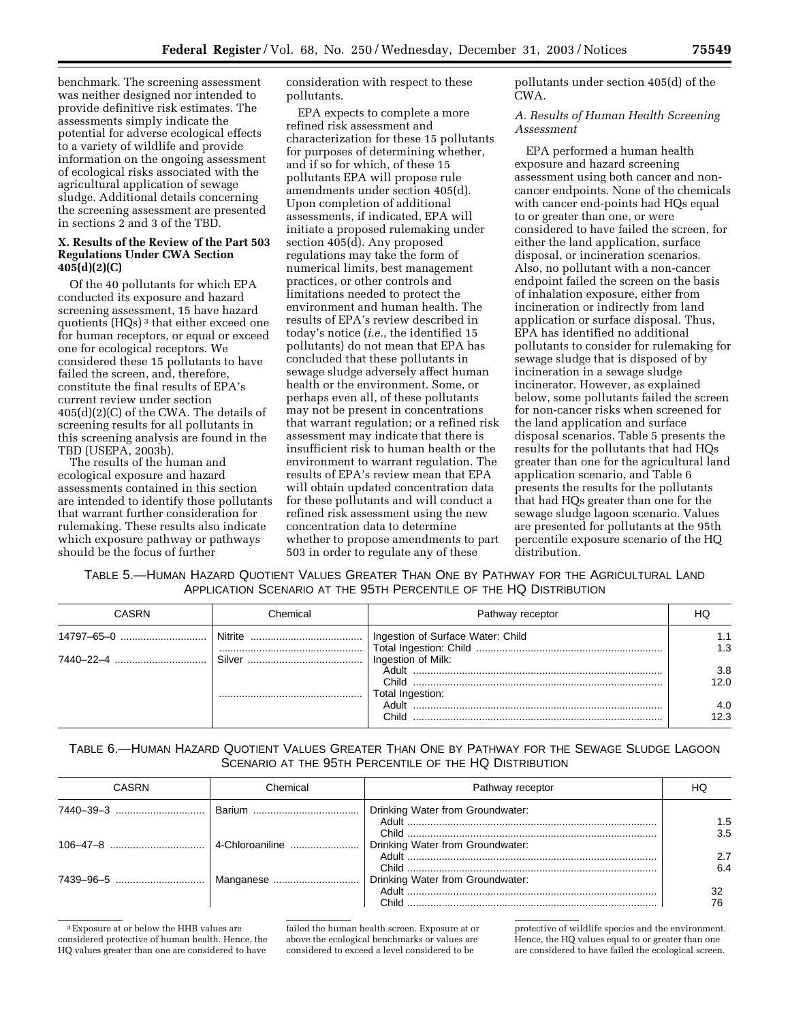benchmark. The screening assessment was neither designed nor intended to provide definitive risk estimates. The assessments simply indicate the potential for adverse ecological effects to a variety of wildlife and provide information on the ongoing assessment of ecological risks associated with the agricultural application of sewage sludge. Additional details concerning the screening assessment are presented in sections 2 and 3 of the TBD.

# **X. Results of the Review of the Part 503 Regulations Under CWA Section 405(d)(2)(C)**

Of the 40 pollutants for which EPA conducted its exposure and hazard screening assessment, 15 have hazard quotients (HQs) 3 that either exceed one for human receptors, or equal or exceed one for ecological receptors. We considered these 15 pollutants to have failed the screen, and, therefore, constitute the final results of EPA's current review under section 405(d)(2)(C) of the CWA. The details of screening results for all pollutants in this screening analysis are found in the TBD (USEPA, 2003b).

The results of the human and ecological exposure and hazard assessments contained in this section are intended to identify those pollutants that warrant further consideration for rulemaking. These results also indicate which exposure pathway or pathways should be the focus of further

consideration with respect to these pollutants.

EPA expects to complete a more refined risk assessment and characterization for these 15 pollutants for purposes of determining whether, and if so for which, of these 15 pollutants EPA will propose rule amendments under section 405(d). Upon completion of additional assessments, if indicated, EPA will initiate a proposed rulemaking under section 405(d). Any proposed regulations may take the form of numerical limits, best management practices, or other controls and limitations needed to protect the environment and human health. The results of EPA's review described in today's notice (*i.e.*, the identified 15 pollutants) do not mean that EPA has concluded that these pollutants in sewage sludge adversely affect human health or the environment. Some, or perhaps even all, of these pollutants may not be present in concentrations that warrant regulation; or a refined risk assessment may indicate that there is insufficient risk to human health or the environment to warrant regulation. The results of EPA's review mean that EPA will obtain updated concentration data for these pollutants and will conduct a refined risk assessment using the new concentration data to determine whether to propose amendments to part 503 in order to regulate any of these

pollutants under section 405(d) of the CWA.

# *A. Results of Human Health Screening Assessment*

EPA performed a human health exposure and hazard screening assessment using both cancer and noncancer endpoints. None of the chemicals with cancer end-points had HQs equal to or greater than one, or were considered to have failed the screen, for either the land application, surface disposal, or incineration scenarios. Also, no pollutant with a non-cancer endpoint failed the screen on the basis of inhalation exposure, either from incineration or indirectly from land application or surface disposal. Thus, EPA has identified no additional pollutants to consider for rulemaking for sewage sludge that is disposed of by incineration in a sewage sludge incinerator. However, as explained below, some pollutants failed the screen for non-cancer risks when screened for the land application and surface disposal scenarios. Table 5 presents the results for the pollutants that had HQs greater than one for the agricultural land application scenario, and Table 6 presents the results for the pollutants that had HQs greater than one for the sewage sludge lagoon scenario. Values are presented for pollutants at the 95th percentile exposure scenario of the HQ distribution.

# TABLE 5.—HUMAN HAZARD QUOTIENT VALUES GREATER THAN ONE BY PATHWAY FOR THE AGRICULTURAL LAND APPLICATION SCENARIO AT THE 95TH PERCENTILE OF THE HQ DISTRIBUTION

| CASRN | Chemical | Pathway receptor                  |             |
|-------|----------|-----------------------------------|-------------|
|       |          | Ingestion of Surface Water: Child | 1.3         |
|       |          | Ingestion of Milk:                | 3.8         |
|       |          |                                   | 12.0        |
|       |          | Total Ingestion:<br>Adult .       | 4.0<br>12.3 |

# TABLE 6.—HUMAN HAZARD QUOTIENT VALUES GREATER THAN ONE BY PATHWAY FOR THE SEWAGE SLUDGE LAGOON SCENARIO AT THE 95TH PERCENTILE OF THE HQ DISTRIBUTION

| CASRN | Chemical | Pathway receptor                 | HU.        |
|-------|----------|----------------------------------|------------|
|       |          | Drinking Water from Groundwater: | 1.5        |
|       |          | Drinking Water from Groundwater: | 3.5<br>2.7 |
|       |          | Drinking Water from Groundwater: | 6.4        |
|       |          |                                  |            |

3Exposure at or below the HHB values are considered protective of human health. Hence, the HQ values greater than one are considered to have

failed the human health screen. Exposure at or above the ecological benchmarks or values are considered to exceed a level considered to be

protective of wildlife species and the environment. Hence, the HQ values equal to or greater than one are considered to have failed the ecological screen.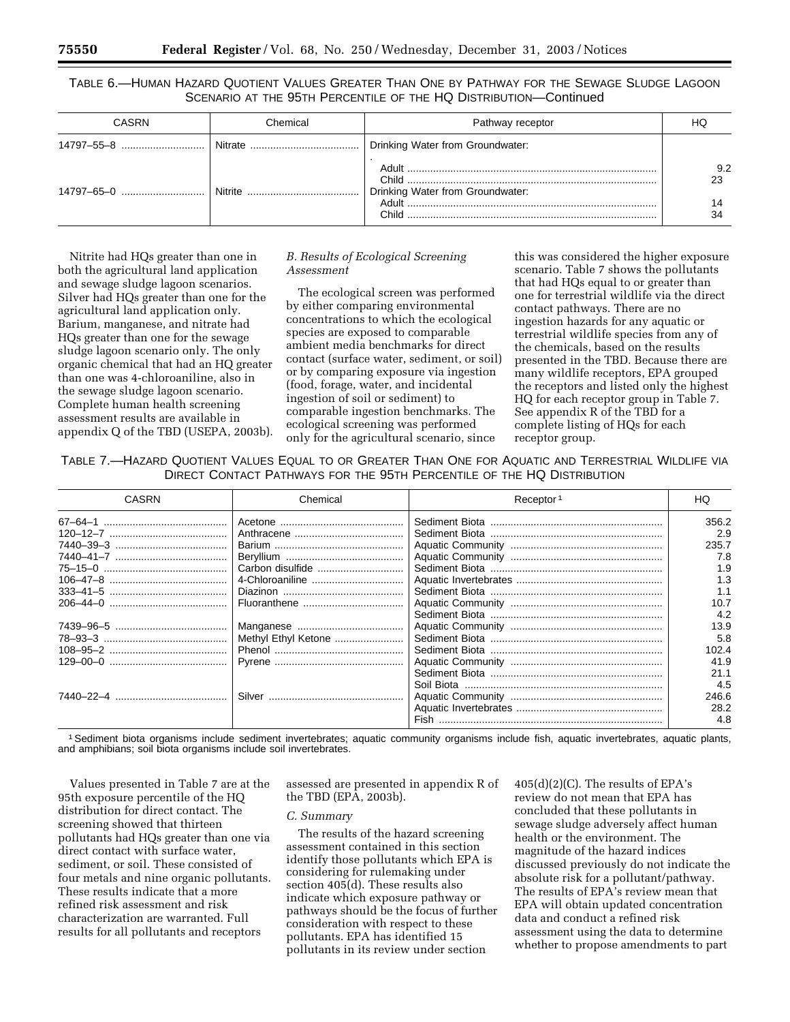TABLE 6.—HUMAN HAZARD QUOTIENT VALUES GREATER THAN ONE BY PATHWAY FOR THE SEWAGE SLUDGE LAGOON SCENARIO AT THE 95TH PERCENTILE OF THE HQ DISTRIBUTION—Continued

| CASRN | Chemical | Pathway receptor                 | HC.             |
|-------|----------|----------------------------------|-----------------|
|       |          | Drinking Water from Groundwater: |                 |
|       |          | Drinking Water from Groundwater: | 9.2<br>23<br>34 |

Nitrite had HQs greater than one in both the agricultural land application and sewage sludge lagoon scenarios. Silver had HQs greater than one for the agricultural land application only. Barium, manganese, and nitrate had HQs greater than one for the sewage sludge lagoon scenario only. The only organic chemical that had an HQ greater than one was 4-chloroaniline, also in the sewage sludge lagoon scenario. Complete human health screening assessment results are available in appendix Q of the TBD (USEPA, 2003b).

# *B. Results of Ecological Screening Assessment*

The ecological screen was performed by either comparing environmental concentrations to which the ecological species are exposed to comparable ambient media benchmarks for direct contact (surface water, sediment, or soil) or by comparing exposure via ingestion (food, forage, water, and incidental ingestion of soil or sediment) to comparable ingestion benchmarks. The ecological screening was performed only for the agricultural scenario, since

this was considered the higher exposure scenario. Table 7 shows the pollutants that had HQs equal to or greater than one for terrestrial wildlife via the direct contact pathways. There are no ingestion hazards for any aquatic or terrestrial wildlife species from any of the chemicals, based on the results presented in the TBD. Because there are many wildlife receptors, EPA grouped the receptors and listed only the highest HQ for each receptor group in Table 7. See appendix R of the TBD for a complete listing of HQs for each receptor group.

TABLE 7.—HAZARD QUOTIENT VALUES EQUAL TO OR GREATER THAN ONE FOR AQUATIC AND TERRESTRIAL WILDLIFE VIA DIRECT CONTACT PATHWAYS FOR THE 95TH PERCENTILE OF THE HQ DISTRIBUTION

| CASRN | Chemical            | Receptor <sup>1</sup> | HQ    |
|-------|---------------------|-----------------------|-------|
|       |                     |                       | 356.2 |
|       |                     |                       | 2.9   |
|       |                     |                       | 235.7 |
|       |                     |                       | 7.8   |
|       |                     |                       | 1.9   |
|       | 4-Chloroaniline     |                       | 1.3   |
|       |                     |                       | 1.1   |
|       |                     |                       | 10.7  |
|       |                     |                       | 4.2   |
|       |                     |                       | 13.9  |
|       | Methyl Ethyl Ketone |                       | 5.8   |
|       |                     |                       | 102.4 |
|       |                     |                       | 41.9  |
|       |                     |                       | 21.1  |
|       |                     |                       | 4.5   |
|       |                     |                       | 246.6 |
|       |                     |                       | 28.2  |
|       |                     |                       | 4.8   |

1Sediment biota organisms include sediment invertebrates; aquatic community organisms include fish, aquatic invertebrates, aquatic plants, and amphibians; soil biota organisms include soil invertebrates.

Values presented in Table 7 are at the 95th exposure percentile of the HQ distribution for direct contact. The screening showed that thirteen pollutants had HQs greater than one via direct contact with surface water, sediment, or soil. These consisted of four metals and nine organic pollutants. These results indicate that a more refined risk assessment and risk characterization are warranted. Full results for all pollutants and receptors

assessed are presented in appendix R of the TBD (EPA, 2003b).

#### *C. Summary*

The results of the hazard screening assessment contained in this section identify those pollutants which EPA is considering for rulemaking under section 405(d). These results also indicate which exposure pathway or pathways should be the focus of further consideration with respect to these pollutants. EPA has identified 15 pollutants in its review under section

405(d)(2)(C). The results of EPA's review do not mean that EPA has concluded that these pollutants in sewage sludge adversely affect human health or the environment. The magnitude of the hazard indices discussed previously do not indicate the absolute risk for a pollutant/pathway. The results of EPA's review mean that EPA will obtain updated concentration data and conduct a refined risk assessment using the data to determine whether to propose amendments to part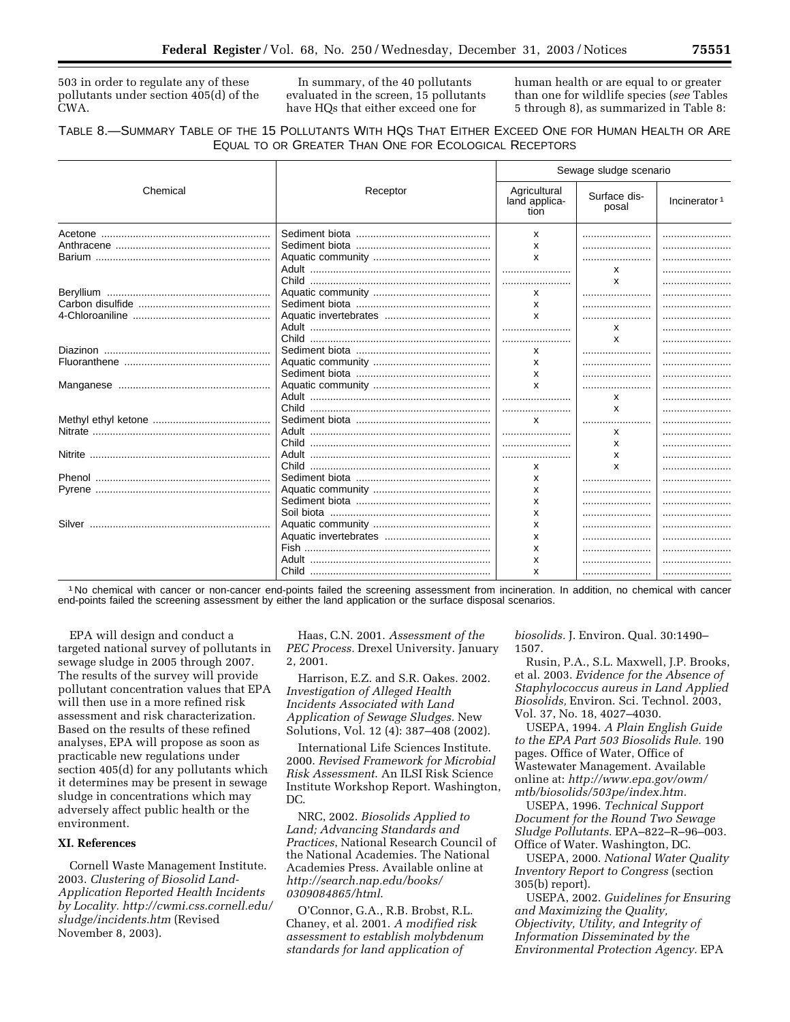503 in order to regulate any of these pollutants under section 405(d) of the CWA.

In summary, of the 40 pollutants evaluated in the screen, 15 pollutants have HQs that either exceed one for

human health or are equal to or greater than one for wildlife species (*see* Tables 5 through 8), as summarized in Table 8:

# TABLE 8.—SUMMARY TABLE OF THE 15 POLLUTANTS WITH HQS THAT EITHER EXCEED ONE FOR HUMAN HEALTH OR ARE EQUAL TO OR GREATER THAN ONE FOR ECOLOGICAL RECEPTORS

|          |          | Sewage sludge scenario                |                       |                          |
|----------|----------|---------------------------------------|-----------------------|--------------------------|
| Chemical | Receptor | Agricultural<br>land applica-<br>tion | Surface dis-<br>posal | Incinerator <sup>1</sup> |
|          |          | X                                     |                       |                          |
|          |          | $\mathsf{x}$                          |                       |                          |
|          |          | $\mathsf{x}$                          |                       |                          |
|          |          |                                       | x                     |                          |
|          |          |                                       | X                     |                          |
|          |          | X                                     |                       |                          |
|          |          | $\mathsf{x}$                          |                       |                          |
|          |          | $\mathsf{x}$                          |                       | .                        |
|          |          |                                       | X                     |                          |
|          |          |                                       | X                     |                          |
|          |          | x                                     |                       |                          |
|          |          | $\mathsf{x}$                          |                       |                          |
|          |          | X                                     |                       |                          |
|          |          | $\boldsymbol{\mathsf{x}}$             |                       |                          |
|          |          |                                       | х                     |                          |
|          |          |                                       | x                     |                          |
|          |          | X                                     |                       |                          |
|          |          |                                       | X                     |                          |
|          |          |                                       | X                     |                          |
|          |          |                                       | x                     |                          |
|          |          | x                                     | x                     |                          |
|          |          | x                                     |                       |                          |
|          |          | x                                     |                       |                          |
|          |          | X                                     |                       |                          |
|          |          | X                                     |                       |                          |
|          |          | X                                     |                       |                          |
|          |          | x                                     |                       |                          |
|          |          | x                                     |                       |                          |
|          |          | x                                     |                       |                          |
|          |          |                                       |                       |                          |
|          |          | x                                     |                       |                          |

1 No chemical with cancer or non-cancer end-points failed the screening assessment from incineration. In addition, no chemical with cancer end-points failed the screening assessment by either the land application or the surface disposal scenarios.

EPA will design and conduct a targeted national survey of pollutants in sewage sludge in 2005 through 2007. The results of the survey will provide pollutant concentration values that EPA will then use in a more refined risk assessment and risk characterization. Based on the results of these refined analyses, EPA will propose as soon as practicable new regulations under section 405(d) for any pollutants which it determines may be present in sewage sludge in concentrations which may adversely affect public health or the environment.

# **XI. References**

Cornell Waste Management Institute. 2003. *Clustering of Biosolid Land-Application Reported Health Incidents by Locality. http://cwmi.css.cornell.edu/ sludge/incidents.htm* (Revised November 8, 2003).

Haas, C.N. 2001. *Assessment of the PEC Process.* Drexel University. January 2, 2001.

Harrison, E.Z. and S.R. Oakes. 2002. *Investigation of Alleged Health Incidents Associated with Land Application of Sewage Sludges.* New Solutions, Vol. 12 (4): 387–408 (2002).

International Life Sciences Institute. 2000. *Revised Framework for Microbial Risk Assessment*. An ILSI Risk Science Institute Workshop Report. Washington, DC.

NRC, 2002. *Biosolids Applied to Land; Advancing Standards and Practices*, National Research Council of the National Academies. The National Academies Press. Available online at *http://search.nap.edu/books/ 0309084865/html*.

O'Connor, G.A., R.B. Brobst, R.L. Chaney, et al. 2001. *A modified risk assessment to establish molybdenum standards for land application of* 

*biosolids.* J. Environ. Qual. 30:1490– 1507.

Rusin, P.A., S.L. Maxwell, J.P. Brooks, et al. 2003. *Evidence for the Absence of Staphylococcus aureus in Land Applied Biosolids,* Environ. Sci. Technol. 2003, Vol. 37, No. 18, 4027–4030.

USEPA, 1994. *A Plain English Guide to the EPA Part 503 Biosolids Rule.* 190 pages. Office of Water, Office of Wastewater Management. Available online at: *http://www.epa.gov/owm/ mtb/biosolids/503pe/index.htm.*

USEPA, 1996. *Technical Support Document for the Round Two Sewage Sludge Pollutants.* EPA–822–R–96–003. Office of Water. Washington, DC.

USEPA, 2000. *National Water Quality Inventory Report to Congress* (section 305(b) report).

USEPA, 2002. *Guidelines for Ensuring and Maximizing the Quality, Objectivity, Utility, and Integrity of Information Disseminated by the Environmental Protection Agency.* EPA